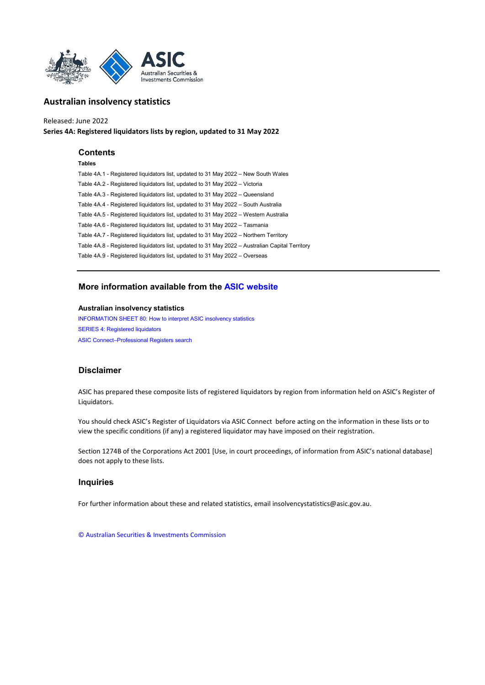

# **Series 4A: Registered liquidators lists by region, updated to 31 May 2022** Released: June 2022

## **Contents**

## **Tables**

[Table 4A.1 - Registered liquidators list, updated to 31 May 2022 – New South Wales](#page-1-0) [Table 4A.2 - Registered liquidators list, updated to 31 May 2022 – Victoria](#page-6-0) [Table 4A.3 - Registered liquidators list, updated to 31 May 2022 – Queensland](#page-9-0) [Table 4A.4 - Registered liquidators list, updated to 31 May 2022 – South Australia](#page-11-0) [Table 4A.5 - Registered liquidators list, updated to 31 May 2022 – Western Australia](#page-13-0) [Table 4A.6 - Registered liquidators list, updated to 31 May 2022 – Tasmania](#page-15-0) [Table 4A.7 - Registered liquidators list, updated to 31 May 2022 – Northern Territory](#page-16-0) [Table 4A.8 - Registered liquidators list, updated to 31 May 2022 – Australian Capital Territory](#page-17-0) [Table 4A.9 - Registered liquidators list, updated to 31 May 2022 – Overseas](#page-18-0)

# **[More information available from the ASIC website](http://www.asic.gov.au/)**

## **Australian insolvency statistics**

[INFORMATION SHEET 80: How to interpret ASIC insolvency statistics](http://www.asic.gov.au/asic/asic.nsf/byheadline/How+to+interpret+ASIC+insolvency+statistics?openDocument) [SERIES 4: Registered liquidators](http://www.asic.gov.au/regulatory-resources/find-a-document/statistics/insolvency-statistics/insolvency-statistics-series-4-quarterly-registered-liquidator-statistics/) [ASIC Connect–Professional Registers search](https://connectonline.asic.gov.au/RegistrySearch/faces/landing/ProfessionalRegisters.jspx?_adf.ctrl-state=9r4wadt8a_46)

# **Disclaimer**

ASIC has prepared these composite lists of registered liquidators by region from information held on ASIC's Register of Liquidators.

You should check ASIC's Register of Liquidators via ASIC Connect before acting on the information in these lists or to view the specific conditions (if any) a registered liquidator may have imposed on their registration.

Section 1274B of the Corporations Act 2001 [Use, in court proceedings, of information from ASIC's national database] does not apply to these lists.

## **Inquiries**

For further information about these and related statistics, email insolvencystatistics@asic.gov.au.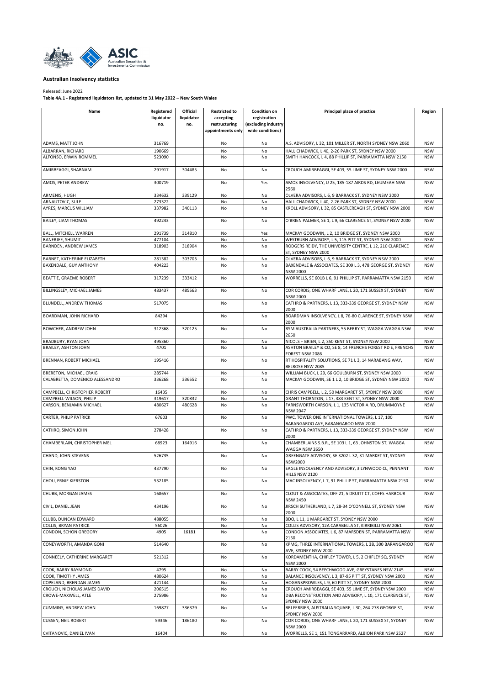<span id="page-1-0"></span>

## Released: June 2022

| Name                                                | Registered       | Official         | <b>Restricted to</b> | <b>Condition on</b> | Principal place of practice                                                                              | Region                   |
|-----------------------------------------------------|------------------|------------------|----------------------|---------------------|----------------------------------------------------------------------------------------------------------|--------------------------|
|                                                     | liquidator       | liquidator       | accepting            | registration        |                                                                                                          |                          |
|                                                     | no.              | no.              | restructuring        | (excluding industry |                                                                                                          |                          |
|                                                     |                  |                  | appointments only    | wide conditions)    |                                                                                                          |                          |
| ADAMS, MATT JOHN                                    | 316769           |                  | No                   | No                  | A.S. ADVISORY, L 32, 101 MILLER ST, NORTH SYDNEY NSW 2060                                                | <b>NSW</b>               |
| ALBARRAN, RICHARD                                   | 190669           |                  | No                   | No                  | HALL CHADWICK, L 40, 2-26 PARK ST, SYDNEY NSW 2000                                                       | <b>NSW</b>               |
| ALFONSO, ERWIN ROMMEL                               | 523090           |                  | No                   | No                  | SMITH HANCOCK, L 4, 88 PHILLIP ST, PARRAMATTA NSW 2150                                                   | <b>NSW</b>               |
|                                                     |                  |                  |                      |                     |                                                                                                          |                          |
| AMIRBEAGGI, SHABNAM                                 | 291917           | 304485           | No                   | No                  | CROUCH AMIRBEAGGI, SE 403, 55 LIME ST, SYDNEY NSW 2000                                                   | <b>NSW</b>               |
| AMOS, PETER ANDREW                                  | 300719           |                  | No                   | Yes                 | AMOS INSOLVENCY, U 25, 185-187 AIRDS RD, LEUMEAH NSW<br>2560                                             | <b>NSW</b>               |
| ARMENIS, HUGH                                       | 334632           | 339129           | No                   | No                  | OLVERA ADVISORS, L 6, 9 BARRACK ST, SYDNEY NSW 2000                                                      | <b>NSW</b>               |
| ARNAUTOVIC, SULE                                    | 273322           |                  | No                   | No                  | HALL CHADWICK, L 40, 2-26 PARK ST, SYDNEY NSW 2000                                                       | <b>NSW</b>               |
| AYRES, MARCUS WILLIAM                               | 337982           | 340113           | No                   | No                  | KROLL ADVISORY, L 32, 85 CASTLEREAGH ST, SYDNEY NSW 2000                                                 | <b>NSW</b>               |
| <b>BAILEY, LIAM THOMAS</b>                          | 492243           |                  | No                   | No                  | O'BRIEN PALMER, SE 1, L 9, 66 CLARENCE ST, SYDNEY NSW 2000                                               | <b>NSW</b>               |
| BALL, MITCHELL WARREN                               | 291739           | 314810           | No                   | Yes                 | MACKAY GOODWIN, L 2, 10 BRIDGE ST, SYDNEY NSW 2000                                                       | <b>NSW</b>               |
| <b>BANERJEE, SHUMIT</b>                             | 477104           |                  | No                   | No                  | WESTBURN ADVISORY, L 5, 115 PITT ST, SYDNEY NSW 2000                                                     | <b>NSW</b>               |
| BARNDEN, ANDREW JAMES                               | 318903           | 318904           | No                   | No                  | RODGERS REIDY, THE UNIVERSITY CENTRE, L 12, 210 CLARENCE<br>ST, SYDNEY NSW 2000                          | <b>NSW</b>               |
| BARNET, KATHERINE ELIZABETH                         | 281382           | 303703           | No                   | No                  | OLVERA ADVISORS, L 6, 9 BARRACK ST, SYDNEY NSW 2000                                                      | <b>NSW</b>               |
| BAXENDALE, GUY ANTHONY                              | 404223           |                  | No                   | No                  | BAXENDALE & ASSOCIATES, SE 309 L 3, 478 GEORGE ST, SYDNEY<br><b>NSW 2000</b>                             | <b>NSW</b>               |
| BEATTIE, GRAEME ROBERT                              | 317239           | 333412           | No                   | No                  | WORRELLS, SE 601B L 6, 91 PHILLIP ST, PARRAMATTA NSW 2150                                                | <b>NSW</b>               |
| BILLINGSLEY, MICHAEL JAMES                          | 483437           | 485563           | No                   | No                  | COR CORDIS, ONE WHARF LANE, L 20, 171 SUSSEX ST, SYDNEY                                                  | <b>NSW</b>               |
| BLUNDELL, ANDREW THOMAS                             | 517075           |                  | No                   | No                  | <b>NSW 2000</b><br>CATHRO & PARTNERS, L 13, 333-339 GEORGE ST, SYDNEY NSW                                | <b>NSW</b>               |
|                                                     |                  |                  |                      |                     | 2000                                                                                                     |                          |
| BOARDMAN, JOHN RICHARD                              | 84294            |                  | No                   | No                  | BOARDMAN INSOLVENCY, L 8, 76-80 CLARENCE ST, SYDNEY NSW<br>2000                                          | <b>NSW</b>               |
| BOWCHER, ANDREW JOHN                                | 312368           | 320125           | No                   | No                  | RSM AUSTRALIA PARTNERS, 55 BERRY ST, WAGGA WAGGA NSW<br>2650                                             | <b>NSW</b>               |
| BRADBURY, RYAN JOHN                                 | 495360           |                  | No                   | No                  | NICOLS + BRIEN, L 2, 350 KENT ST, SYDNEY NSW 2000                                                        | <b>NSW</b>               |
| BRAILEY, ASHTON JOHN                                | 4701             |                  | No                   | No                  | ASHTON BRAILEY & CO, SE 8, 14 FRENCHS FOREST RD E, FRENCHS                                               | <b>NSW</b>               |
|                                                     |                  |                  |                      |                     | FOREST NSW 2086                                                                                          |                          |
| BRENNAN, ROBERT MICHAEL                             | 195416           |                  | No                   | No                  | RT HOSPITALITY SOLUTIONS, SE 71 L 3, 14 NARABANG WAY,<br><b>BELROSE NSW 2085</b>                         | <b>NSW</b>               |
| BRERETON, MICHAEL CRAIG                             | 285744           |                  | No                   | No                  | WILLIAM BUCK, L 29, 66 GOULBURN ST, SYDNEY NSW 2000                                                      | <b>NSW</b>               |
| CALABRETTA, DOMENICO ALESSANDRO                     | 336268           | 336552           | No                   | No                  | MACKAY GOODWIN, SE 1 L 2, 10 BRIDGE ST, SYDNEY NSW 2000                                                  | <b>NSW</b>               |
|                                                     |                  |                  |                      |                     |                                                                                                          |                          |
| CAMPBELL, CHRISTOPHER ROBERT                        | 16435            |                  | No                   | No                  | CHRIS CAMPBELL, L 2, 50 MARGARET ST, SYDNEY NSW 2000                                                     | <b>NSW</b>               |
| CAMPBELL-WILSON, PHILIP<br>CARSON, BENJAMIN MICHAEL | 319617<br>480627 | 320832<br>480628 | No<br>No             | No<br>No            | GRANT THORNTON, L 17, 383 KENT ST, SYDNEY NSW 2000<br>FARNSWORTH CARSON, L 1, 135 VICTORIA RD, DRUMMOYNE | <b>NSW</b><br><b>NSW</b> |
|                                                     |                  |                  |                      |                     | <b>NSW 2047</b>                                                                                          |                          |
| CARTER, PHILIP PATRICK                              | 67603            |                  | No                   | No                  | PWC, TOWER ONE INTERNATIONAL TOWERS, L 17, 100<br>BARANGAROO AVE, BARANGAROO NSW 2000                    | <b>NSW</b>               |
| CATHRO, SIMON JOHN                                  | 278428           |                  | No                   | No                  | CATHRO & PARTNERS, L 13, 333-339 GEORGE ST, SYDNEY NSW<br>2000                                           | <b>NSW</b>               |
| CHAMBERLAIN, CHRISTOPHER MEL                        | 68923            | 164916           | No                   | No                  | CHAMBERLAINS S.B.R., SE 103 L 1, 63 JOHNSTON ST, WAGGA<br>WAGGA NSW 2650                                 | <b>NSW</b>               |
| CHAND, JOHN STEVENS                                 | 526735           |                  | No                   | No                  | GREENGATE ADVISORY, SE 3202 L 32, 31 MARKET ST, SYDNEY                                                   | <b>NSW</b>               |
| CHIN, KONG YAO                                      | 437790           |                  | No                   | No                  | <b>NSW2000</b><br>EAGLE INSOLVENCY AND ADVISORY, 3 LYNWOOD CL, PENNANT                                   | <b>NSW</b>               |
| CHOU, ERNIE KIERSTON                                | 532185           |                  | No                   | No                  | HILLS NSW 2120<br>MAC INSOLVENCY, L 7, 91 PHILLIP ST, PARRAMATTA NSW 2150                                | <b>NSW</b>               |
| CHUBB. MORGAN JAMES                                 | 168657           |                  | No                   | No                  | CLOUT & ASSOCIATES, OFF 21, 5 DRUITT CT, COFFS HARBOUR                                                   | <b>NSW</b>               |
|                                                     |                  |                  |                      |                     | <b>NSW 2450</b>                                                                                          |                          |
| CIVIL, DANIEL JEAN                                  | 434196           |                  | No                   | No                  | JIRSCH SUTHERLAND, L 7, 28-34 O'CONNELL ST, SYDNEY NSW<br>2000                                           | <b>NSW</b>               |
| CLUBB, DUNCAN EDWARD                                | 488055           |                  | No                   | No                  | BDO, L 11, 1 MARGARET ST, SYDNEY NSW 2000                                                                | <b>NSW</b>               |
| COLLIS, BRYAN PATRICK                               | 56026            |                  | No                   | No                  | COLLIS ADVISORY, 12A CARABELLA ST, KIRRIBILLI NSW 2061                                                   | <b>NSW</b>               |
| CONDON, SCHON GREGORY                               | 4905             | 16181            | No                   | No                  | CONDON ASSOCIATES, L 6, 87 MARSDEN ST, PARRAMATTA NSW<br>2150                                            | <b>NSW</b>               |
| CONEYWORTH, AMANDA GONI                             | 514640           |                  | No                   | No                  | KPMG, THREE INTERNATIONAL TOWERS, L 38, 300 BARANGAROO<br>AVE, SYDNEY NSW 2000                           | <b>NSW</b>               |
| CONNEELY, CATHERINE MARGARET                        | 521312           |                  | No                   | No                  | KORDAMENTHA, CHIFLEY TOWER, L 5, 2 CHIFLEY SQ, SYDNEY<br><b>NSW 2000</b>                                 | <b>NSW</b>               |
| COOK, BARRY RAYMOND                                 | 4795             |                  | No                   | No                  | BARRY COOK, 54 BEECHWOOD AVE, GREYSTANES NSW 2145                                                        | <b>NSW</b>               |
| COOK, TIMOTHY JAMES                                 | 480624           |                  | No                   | No                  | BALANCE INSOLVENCY, L 3, 87-95 PITT ST, SYDNEY NSW 2000                                                  | <b>NSW</b>               |
| COPELAND, BRENDAN JAMES                             | 421144           |                  | No                   | No                  | HOGANSPROWLES, L 9, 60 PITT ST, SYDNEY NSW 2000                                                          | <b>NSW</b>               |
| CROUCH, NICHOLAS JAMES DAVID                        | 206515           |                  | No                   | No                  | CROUCH AMIRBEAGGI, SE 403, 55 LIME ST, SYDNEYNSW 2000                                                    | <b>NSW</b>               |
| CROWE-MAXWELL, ATLE                                 | 275986           |                  | No                   | No                  | DBA RECONSTRUCTION AND ADVISORY, L 10, 171 CLARENCE ST,<br>SYDNEY NSW 2000                               | <b>NSW</b>               |
| CUMMINS, ANDREW JOHN                                | 169877           | 336379           | No                   | No                  | BRI FERRIER, AUSTRALIA SQUARE, L 30, 264-278 GEORGE ST,<br>SYDNEY NSW 2000                               | <b>NSW</b>               |
| <b>CUSSEN, NEIL ROBERT</b>                          | 59346            | 186180           | No                   | No                  | COR CORDIS, ONE WHARF LANE, L 20, 171 SUSSEX ST, SYDNEY<br><b>NSW 2000</b>                               | <b>NSW</b>               |
| CVITANOVIC, DANIEL IVAN                             | 16404            |                  | No                   | No                  | WORRELLS, SE 1, 151 TONGARRARD, ALBION PARK NSW 2527                                                     | <b>NSW</b>               |
|                                                     |                  |                  |                      |                     |                                                                                                          |                          |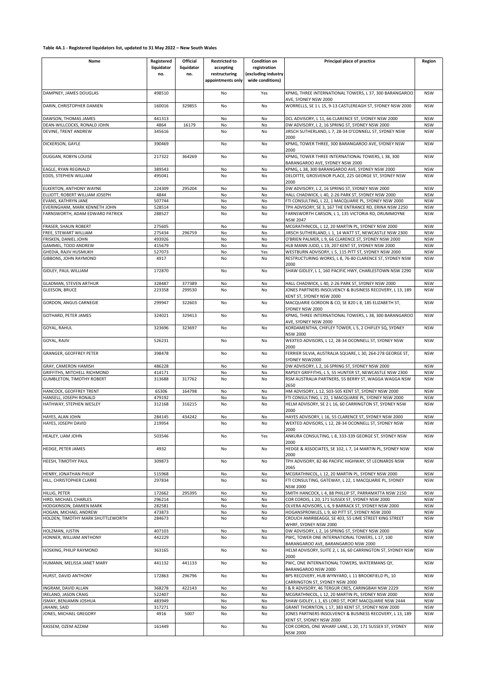| Name                              | Registered | Official   | <b>Restricted to</b> | <b>Condition on</b> | Principal place of practice                                                       | Region     |
|-----------------------------------|------------|------------|----------------------|---------------------|-----------------------------------------------------------------------------------|------------|
|                                   | liquidator | liquidator | accepting            | registration        |                                                                                   |            |
|                                   | no.        | no.        | restructuring        | (excluding industry |                                                                                   |            |
|                                   |            |            | appointments only    | wide conditions)    |                                                                                   |            |
|                                   |            |            |                      |                     |                                                                                   |            |
| DAMPNEY, JAMES DOUGLAS            | 498510     |            | No                   | Yes                 | KPMG, THREE INTERNATIONAL TOWERS, L 37, 300 BARANGAROO                            | <b>NSW</b> |
| DARIN, CHRISTOPHER DAMIEN         | 160016     | 329855     | No                   | No                  | AVE, SYDNEY NSW 2000<br>WORRELLS, SE 1 L 15, 9-13 CASTLEREAGH ST, SYDNEY NSW 2000 | <b>NSW</b> |
|                                   |            |            |                      |                     |                                                                                   |            |
| DAWSON, THOMAS JAMES              | 441313     |            | No                   | No                  | DCL ADVISORY, L 11, 66 CLARENCE ST, SYDNEY NSW 2000                               | <b>NSW</b> |
| DEAN-WILLCOCKS, RONALD JOHN       | 4864       | 16179      | No                   | No                  | DW ADVISORY, L 2, 16 SPRING ST, SYDNEY NSW 2000                                   | <b>NSW</b> |
| DEVINE, TRENT ANDREW              | 345616     |            | No                   | No                  | JIRSCH SUTHERLAND, L 7, 28-34 O'CONNELL ST, SYDNEY NSW                            | <b>NSW</b> |
|                                   |            |            |                      |                     | 2000                                                                              |            |
| DICKERSON, GAYLE                  | 390469     |            | No                   | No                  | KPMG, TOWER THREE, 300 BARANGAROO AVE, SYDNEY NSW                                 | <b>NSW</b> |
|                                   |            |            |                      |                     | 2000                                                                              |            |
| DUGGAN, ROBYN LOUISE              | 217322     | 364269     | No                   | No                  | KPMG, TOWER THREE INTERNATIONAL TOWERS, L38, 300                                  | <b>NSW</b> |
|                                   |            |            |                      |                     | BARANGAROO AVE, SYDNEY NSW 2000                                                   |            |
| EAGLE, RYAN REGINALD              | 389543     |            | No                   | No                  | KPMG, L 38, 300 BARANGAROO AVE, SYDNEY NSW 2000                                   | <b>NSW</b> |
| EDDS, STEPHEN WILLIAM             | 495041     |            | No                   | No                  | DELOITTE, GROSVENOR PLACE, 225 GEORGE ST, SYDNEY NSW                              | <b>NSW</b> |
|                                   |            |            |                      |                     | 2000                                                                              |            |
| ELKERTON, ANTHONY WAYNE           | 224309     | 295204     | No                   | No                  | DW ADVISORY, L 2, 16 SPRING ST, SYDNEY NSW 2000                                   | <b>NSW</b> |
| ELLIOTT, ROBERT WILLIAM JOSEPH    | 4844       |            | No                   | No                  | HALL CHADWICK, L 40, 2-26 PARK ST, SYDNEY NSW 2000                                | <b>NSW</b> |
| EVANS, KATHRYN JANE               | 507744     |            | No                   | No                  | FTI CONSULTING, L 22, 1 MACQUARIE PL, SYDNEY NSW 2000                             | <b>NSW</b> |
| EVERINGHAM, MARK KENNETH JOHN     | 528514     |            | No                   | No                  | TPH ADVISORY, SE 3, 167 THE ENTRANCE RD, ERINA NSW 2250                           | <b>NSW</b> |
| FARNSWORTH, ADAM EDWARD PATRICK   | 288527     |            | No                   | No                  | FARNSWORTH CARSON, L 1, 135 VICTORIA RD, DRUMMOYNE                                | <b>NSW</b> |
|                                   |            |            |                      |                     | <b>NSW 2047</b>                                                                   |            |
| FRASER, SHAUN ROBERT              | 275605     |            | No                   | No                  | MCGRATHNICOL, L 12, 20 MARTIN PL, SYDNEY NSW 2000                                 | <b>NSW</b> |
| FREE, STEWART WILLIAM             | 275434     | 296759     | No                   | No                  | JIRSCH SUTHERLAND, L 1, 14 WATT ST, NEWCASTLE NSW 2300                            | <b>NSW</b> |
| FRISKEN, DANIEL JOHN              | 493926     |            | No                   | No                  | O'BRIEN PALMER, L 9, 66 CLARENCE ST, SYDNEY NSW 2000                              | <b>NSW</b> |
| GAMMEL, TODD ANDREW               | 415679     |            | No                   | No                  | HLB MANN JUDD, L 19, 207 KENT ST, SYDNEY NSW 2000                                 | <b>NSW</b> |
| GHEDIA, RAJIV HUSMUKH             | 527073     |            | No                   | Yes                 | WESTBURN ADVISORY, L 5, 115 PITT ST, SYDNEY NSW 2000                              | <b>NSW</b> |
| GIBBONS, JOHN RAYMOND             | 4917       |            | No                   | No                  | RESTRUCTURING WORKS, L 8, 76-80 CLARENCE ST, SYDNEY NSW                           | <b>NSW</b> |
|                                   |            |            |                      |                     | 2000                                                                              |            |
| GIDLEY, PAUL WILLIAM              | 172870     |            | No                   | No                  | SHAW GIDLEY, L 1, 160 PACIFIC HWY, CHARLESTOWN NSW 2290                           | <b>NSW</b> |
|                                   |            |            |                      |                     |                                                                                   |            |
| <b>GLADMAN, STEVEN ARTHUR</b>     | 328487     | 377389     | No                   | No                  | HALL CHADWICK, L 40, 2-26 PARK ST, SYDNEY NSW 2000                                | <b>NSW</b> |
| <b>GLEESON, BRUCE</b>             | 223358     | 299530     | No                   | No                  | JONES PARTNERS INSOLVENCY & BUSINESS RECOVERY, L 13, 189                          | <b>NSW</b> |
|                                   |            |            |                      |                     | KENT ST, SYDNEY NSW 2000                                                          |            |
| GORDON, ANGUS CARNEGIE            | 299947     | 322603     | No                   | No                  | MACQUARIE GORDON & CO, SE 820 L 8, 185 ELIZABETH ST,                              | <b>NSW</b> |
|                                   |            |            |                      |                     | SYDNEY NSW 2000                                                                   |            |
| GOTHARD, PETER JAMES              | 324021     | 329413     | No                   | No                  | KPMG, THREE INTERNATIONAL TOWERS, L 38, 300 BARANGAROO                            | <b>NSW</b> |
|                                   |            |            |                      |                     | AVE, SYDNEY NSW 2000                                                              |            |
| <b>GOYAL, RAHUL</b>               | 323696     | 323697     | No                   | No                  | KORDAMENTHA, CHIFLEY TOWER, L 5, 2 CHIFLEY SQ, SYDNEY                             | <b>NSW</b> |
|                                   |            |            |                      |                     | <b>NSW 2000</b>                                                                   |            |
| GOYAL, RAJIV                      | 526231     |            | No                   | No                  | WEXTED ADVISORS, L 12, 28-34 OCONNELL ST, SYDNEY NSW                              | <b>NSW</b> |
|                                   |            |            |                      |                     | 2000                                                                              |            |
| GRANGER, GEOFFREY PETER           | 398478     |            | No                   | No                  | FERRIER SILVIA, AUSTRALIA SQUARE, L 30, 264-278 GEORGE ST,                        | <b>NSW</b> |
|                                   |            |            |                      |                     | SYDNEY NSW2000                                                                    |            |
| GRAY, CAMERON HAMISH              | 486228     |            | No                   | No                  | DW ADVISORY, L 2, 16 SPRING ST, SYDNEY NSW 2000                                   | <b>NSW</b> |
| GRIFFITHS, MITCHELL RICHMOND      | 414171     |            | No                   | No                  | RAPSEY GRIFFITHS, L 5, 55 HUNTER ST, NEWCASTLE NSW 2300                           | <b>NSW</b> |
| GUMBLETON, TIMOTHY ROBERT         | 313688     | 317762     | No                   | No                  | RSM AUSTRALIA PARTNERS, 55 BERRY ST, WAGGA WAGGA NSW                              | <b>NSW</b> |
|                                   |            |            |                      |                     | 2650                                                                              |            |
| HANCOCK, GEOFFREY TRENT           | 65306      | 164798     | No                   | No                  | HM ADVISORY, L 12, 503-505 KENT ST, SYDNEY NSW 2000                               | <b>NSW</b> |
| HANSELL, JOSEPH RONALD            | 479192     |            | No                   | No                  | FTI CONSULTING, L 22, 1 MACQUARIE PL, SYDNEY NSW 2000                             | <b>NSW</b> |
| HATHWAY, STEPHEN WESLEY           | 312168     | 316215     | No                   | No                  | HELM ADVISORY, SE 2 L 16, 60 CARRINGTON ST, SYDNEY NSW                            | <b>NSW</b> |
|                                   |            |            |                      |                     | 2000                                                                              |            |
| HAYES, ALAN JOHN                  | 284145     | 434242     | No                   | No                  | HAYES ADVISORY, L 16, 55 CLARENCE ST, SYDNEY NSW 2000                             | <b>NSW</b> |
| HAYES, JOSEPH DAVID               | 219954     |            | No                   | No                  | WEXTED ADVISORS, L 12, 28-34 OCONNELL ST, SYDNEY NSW                              | <b>NSW</b> |
|                                   |            |            |                      |                     | 2000                                                                              |            |
| <b>HEALEY, LIAM JOHN</b>          | 503546     |            | No                   | Yes                 | ANKURA CONSULTING, L 8, 333-339 GEORGE ST, SYDNEY NSW                             | <b>NSW</b> |
|                                   |            |            |                      |                     | 2000                                                                              |            |
| HEDGE, PETER JAMES                | 4932       |            | No                   | No                  | HEDGE & ASSOCIATES, SE 102, L 7, 14 MARTIN PL, SYDNEY NSW                         | <b>NSW</b> |
|                                   |            |            |                      |                     | 2000                                                                              |            |
| HEESH, TIMOTHY PAUL               | 309873     |            | No                   | No                  | TPH ADVISORY, 82-86 PACIFIC HIGHWAY, ST LEONARDS NSW                              | <b>NSW</b> |
|                                   |            |            |                      |                     | 2065                                                                              |            |
| HENRY, JONATHAN PHILIP            | 515968     |            | No                   | No                  | MCGRATHNICOL, L 12, 20 MARTIN PL, SYDNEY NSW 2000                                 | <b>NSW</b> |
| HILL, CHRISTOPHER CLARKE          | 297834     |            | No                   | No                  | FTI CONSULTING, GATEWAY, L 22, 1 MACQUARIE PL, SYDNEY                             | <b>NSW</b> |
|                                   |            |            |                      |                     | <b>NSW 2000</b>                                                                   |            |
| HILLIG, PETER                     | 172662     | 295395     | No                   | No                  | SMITH HANCOCK, L 4, 88 PHILLIP ST, PARRAMATTA NSW 2150                            | <b>NSW</b> |
| HIRD, MICHAEL CHARLES             | 296214     |            | No                   | No                  | COR CORDIS, L 20, 171 SUSSEX ST, SYDNEY NSW 2000                                  | <b>NSW</b> |
| HODGKINSON, DAMIEN MARK           | 282581     |            | No                   | No                  | OLVERA ADVISORS, L 6, 9 BARRACK ST, SYDNEY NSW 2000                               | <b>NSW</b> |
| HOGAN, MICHAEL ANDREW             | 473873     |            | No                   | No                  | HOGANSPROWLES, L 9, 60 PITT ST, SYDNEY NSW 2000                                   | <b>NSW</b> |
| HOLDEN, TIMOTHY MARK SHUTTLEWORTH | 284673     |            | No                   | No                  | CROUCH AMIRBEAGGI, SE 403, 55 LIME STREET KING STREET                             | <b>NSW</b> |
|                                   |            |            |                      |                     | WHRF. SYDNEY NSW 2000                                                             |            |
| HOLZMAN, JUSTIN                   | 407103     |            | No                   | No                  | DW ADVISORY, L 2, 16 SPRING ST, SYDNEY NSW 2000                                   | <b>NSW</b> |
| HONNER, WILLIAM ANTHONY           | 442229     |            | No                   | No                  | PWC, TOWER ONE INTERNATIONAL TOWERS, L 17, 100                                    | <b>NSW</b> |
|                                   |            |            |                      |                     | BARANGAROO AVE, BARANGAROO NSW 2000                                               |            |
| HOSKING, PHILIP RAYMOND           | 363165     |            | No                   | No                  | HELM ADVISORY, SUITE 2, L 16, 60 CARRINGTON ST, SYDNEY NSW                        | <b>NSW</b> |
|                                   |            |            |                      |                     | 2000                                                                              |            |
| HUMANN, MELISSA JANET MARY        | 441132     | 441133     | No                   | No                  | PWC, ONE INTERNATIONAL TOWERS, WATERMANS QY,                                      | <b>NSW</b> |
|                                   |            |            |                      |                     | BARANGAROO NSW 2000                                                               |            |
| HURST, DAVID ANTHONY              | 172863     | 296796     | No                   | No                  | BPS RECOVERY, HUB WYNYARD, L 11 BROOKFIELD PL, 10                                 | <b>NSW</b> |
|                                   |            |            |                      |                     | CARRINGTON ST, SYDNEY NSW 2000                                                    |            |
| INGRAM, DAVID ALLAN               | 368278     | 422143     | No                   | No                  | I & R ADVISORY, 46 TERGUR CRES, CARINGBAH NSW 2229                                | <b>NSW</b> |
| <b>IRELAND, JASON CRAIG</b>       | 522407     |            | No                   | No                  | MCGRATHNICOL, L 12, 20 MARTIN PL, SYDNEY NSW 2000                                 | <b>NSW</b> |
| ISMAY, BENJAMIN JOSHUA            | 483949     |            | No                   | No                  | SHAW GIDLEY, L 1, 65 LORD ST, PORT MACQUARIE NSW 2444                             | <b>NSW</b> |
| JAHANI, SAID                      | 317271     |            | No                   | No                  | GRANT THORNTON, L 17, 383 KENT ST, SYDNEY NSW 2000                                | <b>NSW</b> |
| JONES, MICHAEL GREGORY            | 4916       | 5007       | No                   | No                  | JONES PARTNERS INSOLVENCY & BUSINESS RECOVERY, L 13, 189                          | <b>NSW</b> |
|                                   |            |            |                      |                     | KENT ST, SYDNEY NSW 2000                                                          |            |
| KASSEM, OZEM AZZAM                | 161449     |            | No                   | No                  | COR CORDIS, ONE WHARF LANE, L 20, 171 SUSSEX ST, SYDNEY                           | <b>NSW</b> |
|                                   |            |            |                      |                     | <b>NSW 2000</b>                                                                   |            |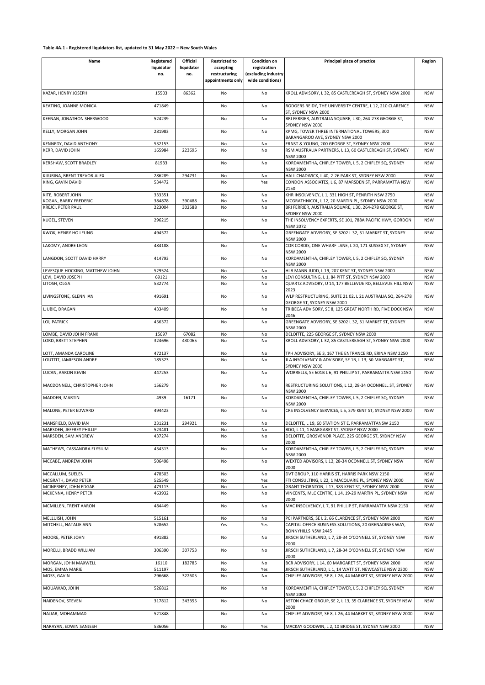| Name                                          | Registered       | Official   | <b>Restricted to</b>               | <b>Condition on</b>                     | Principal place of practice                                                                                    | Region                   |
|-----------------------------------------------|------------------|------------|------------------------------------|-----------------------------------------|----------------------------------------------------------------------------------------------------------------|--------------------------|
|                                               | liquidator       | liquidator | accepting                          | registration                            |                                                                                                                |                          |
|                                               | no.              | no.        | restructuring<br>appointments only | (excluding industry<br>wide conditions) |                                                                                                                |                          |
| KAZAR, HENRY JOSEPH                           | 15503            | 86362      | No                                 | No                                      | KROLL ADVISORY, L 32, 85 CASTLEREAGH ST, SYDNEY NSW 2000                                                       | <b>NSW</b>               |
| KEATING, JOANNE MONICA                        | 471849           |            | No                                 | No                                      | RODGERS REIDY, THE UNIVERSITY CENTRE, L 12, 210 CLARENCE<br>ST. SYDNEY NSW 2000                                | <b>NSW</b>               |
| KEENAN, JONATHON SHERWOOD                     | 524239           |            | No                                 | No                                      | BRI FERRIER, AUSTRALIA SQUARE, L 30, 264-278 GEORGE ST,<br>SYDNEY NSW 2000                                     | <b>NSW</b>               |
| KELLY, MORGAN JOHN                            | 281983           |            | No                                 | No                                      | KPMG, TOWER THREE INTERNATIONAL TOWERS, 300<br>BARANGAROO AVE, SYDNEY NSW 2000                                 | <b>NSW</b>               |
| KENNEDY, DAVID ANTHONY                        | 532153           |            | No                                 | No                                      | ERNST & YOUNG, 200 GEORGE ST, SYDNEY NSW 2000                                                                  | <b>NSW</b>               |
| KERR, DAVID JOHN                              | 165984           | 223695     | No                                 | No                                      | RSM AUSTRALIA PARTNERS, L 13, 60 CASTLEREAGH ST, SYDNEY                                                        | <b>NSW</b>               |
| KERSHAW, SCOTT BRADLEY                        | 81933            |            | No                                 | No                                      | <b>NSW 2000</b><br>KORDAMENTHA, CHIFLEY TOWER, L 5, 2 CHIFLEY SQ, SYDNEY                                       | <b>NSW</b>               |
| KIJURINA, BRENT TREVOR-ALEX                   | 286289           | 294731     | No                                 | No                                      | <b>NSW 2000</b><br>HALL CHADWICK, L 40, 2-26 PARK ST, SYDNEY NSW 2000                                          | <b>NSW</b>               |
| KING, GAVIN DAVID                             | 534472           |            | No                                 | Yes                                     | CONDON ASSOCIATES, L 6, 87 MARSDEN ST, PARRAMATTA NSW                                                          | <b>NSW</b>               |
| KITE, ROBERT JOHN                             | 333351           |            | No                                 | No                                      | 2150<br>KHR INSOLVENCY, L 1, 331 HIGH ST, PENRITH NSW 2750                                                     | <b>NSW</b>               |
| KOGAN, BARRY FREDERIC                         | 384878           | 390488     | No                                 | No                                      | MCGRATHNICOL, L 12, 20 MARTIN PL, SYDNEY NSW 2000                                                              | <b>NSW</b>               |
| KREJCI, PETER PAUL                            | 223004           | 302588     | No                                 | No                                      | BRI FERRIER, AUSTRALIA SQUARE, L 30, 264-278 GEORGE ST,                                                        | <b>NSW</b>               |
| KUGEL, STEVEN                                 | 296215           |            | No                                 | No                                      | SYDNEY NSW 2000<br>THE INSOLVENCY EXPERTS, SE 101, 788A PACIFIC HWY, GORDON                                    | <b>NSW</b>               |
| KWOK, HENRY HO LEUNG                          | 494572           |            | No                                 | No                                      | <b>NSW 2072</b><br>GREENGATE ADVISORY, SE 3202 L 32, 31 MARKET ST, SYDNEY                                      | <b>NSW</b>               |
| LAKOMY, ANDRE LEON                            | 484188           |            | No                                 | No                                      | NSW 2000<br>COR CORDIS, ONE WHARF LANE, L 20, 171 SUSSEX ST, SYDNEY                                            | <b>NSW</b>               |
| LANGDON, SCOTT DAVID HARRY                    | 414793           |            | No                                 | No                                      | NSW 2000<br>KORDAMENTHA, CHIFLEY TOWER, L 5, 2 CHIFLEY SQ, SYDNEY                                              | <b>NSW</b>               |
|                                               |                  |            |                                    |                                         | <b>NSW 2000</b>                                                                                                |                          |
| LEVESQUE-HOCKING, MATTHEW JOIHN               | 529524           |            | No                                 | No                                      | HLB MANN JUDD, L 19, 207 KENT ST, SYDNEY NSW 2000                                                              | <b>NSW</b>               |
| LEVI, DAVID JOSEPH<br>LITOSH, OLGA            | 69121<br>532774  |            | No<br>No                           | No<br>No                                | LEVI CONSULTING, L 1, 84 PITT ST, SYDNEY NSW 2000<br>QUARTZ ADVISORY, U 14, 177 BELLEVUE RD, BELLEVUE HILL NSW | <b>NSW</b><br><b>NSW</b> |
|                                               |                  |            |                                    |                                         | 2023                                                                                                           |                          |
| LIVINGSTONE, GLENN IAN                        | 491691           |            | No                                 | No                                      | WLP RESTRUCTURING, SUITE 21 02, L 21 AUSTRALIA SQ, 264-278<br>GEORGE ST, SYDNEY NSW 2000                       | <b>NSW</b>               |
| LJUBIC, DRAGAN                                | 433409           |            | No                                 | No                                      | TRIBECA ADVISORY, SE 8, 125 GREAT NORTH RD, FIVE DOCK NSW<br>2046                                              | <b>NSW</b>               |
| LOI, PATRICK                                  | 456372           |            | No                                 | No                                      | GREENGATE ADVISORY, SE 3202 L 32, 31 MARKET ST, SYDNEY<br><b>NSW 2000</b>                                      | <b>NSW</b>               |
| LOMBE, DAVID JOHN FRANK                       | 15697            | 67082      | No                                 | No                                      | DELOITTE, 225 GEORGE ST, SYDNEY NSW 2000                                                                       | <b>NSW</b>               |
| LORD, BRETT STEPHEN                           | 324696           | 430065     | No                                 | No                                      | KROLL ADVISORY, L 32, 85 CASTLEREAGH ST, SYDNEY NSW 2000                                                       | <b>NSW</b>               |
| LOTT, AMANDA CAROLINE                         | 472137           |            | No                                 | No                                      | TPH ADVISORY, SE 3, 167 THE ENTRANCE RD, ERINA NSW 2250                                                        | <b>NSW</b>               |
| LOUTTIT, JAMIESON ANDRE                       | 185323           |            | No                                 | No                                      | JLA INSOLVENCY & ADVISORY, SE 1B, L 13, 50 MARGARET ST,<br>SYDNEY NSW 2000                                     | <b>NSW</b>               |
| LUCAN, AARON KEVIN                            | 447253           |            | No                                 | No                                      | WORRELLS, SE 601B L 6, 91 PHILLIP ST, PARRAMATTA NSW 2150                                                      | <b>NSW</b>               |
| MACDONNELL, CHRISTOPHER JOHN                  | 156279           |            | No                                 | No                                      | RESTRUCTURING SOLUTIONS, L 12, 28-34 OCONNELL ST, SYDNEY<br><b>NSW 2000</b>                                    | <b>NSW</b>               |
| MADDEN, MARTIN                                | 4939             | 16171      | No                                 | No                                      | KORDAMENTHA, CHIFLEY TOWER, L 5, 2 CHIFLEY SQ, SYDNEY<br>NSW 2000                                              | <b>NSW</b>               |
| MALONE, PETER EDWARD                          | 494423           |            | No                                 | No                                      | CRS INSOLVENCY SERVICES, L 5, 379 KENT ST, SYDNEY NSW 2000                                                     | <b>NSW</b>               |
| MANSFIELD, DAVID IAN                          | 231231           | 294921     | No                                 | No                                      | DELOITTE, L 19, 60 STATION ST E, PARRAMATTANSW 2150                                                            | <b>NSW</b>               |
| MARSDEN, JEFFREY PHILLIP                      | 523481           |            | No                                 | No                                      | BDO, L 11, 1 MARGARET ST, SYDNEY NSW 2000                                                                      | <b>NSW</b>               |
| MARSDEN, SAM ANDREW                           | 437274           |            | No                                 | No                                      | DELOITTE, GROSVENOR PLACE, 225 GEORGE ST, SYDNEY NSW                                                           | <b>NSW</b>               |
| MATHEWS, CASSANDRA ELYSIUM                    | 434313           |            | No                                 | No                                      | 2000<br>KORDAMENTHA, CHIFLEY TOWER, L 5, 2 CHIFLEY SQ, SYDNEY                                                  | <b>NSW</b>               |
| MCCABE, ANDREW JOHN                           | 506498           |            | No                                 | No                                      | <b>NSW 2000</b><br>WEXTED ADVISORS, L 12, 28-34 OCONNELL ST, SYDNEY NSW                                        | <b>NSW</b>               |
|                                               |                  |            |                                    |                                         | 2000                                                                                                           |                          |
| MCCALLUM, SUELEN                              | 478503           |            | No                                 | No                                      | DVT GROUP, 110 HARRIS ST, HARRIS PARK NSW 2150                                                                 | <b>NSW</b>               |
| MCGRATH, DAVID PETER                          | 525549           |            | No                                 | Yes                                     | FTI CONSULTING, L 22, 1 MACQUARIE PL, SYDNEY NSW 2000                                                          | <b>NSW</b>               |
| MCINERNEY, JOHN EDGAR<br>MCKENNA, HENRY PETER | 473113<br>463932 |            | No<br>No                           | No<br>No                                | GRANT THORNTON, L 17, 383 KENT ST, SYDNEY NSW 2000<br>VINCENTS, MLC CENTRE, L 14, 19-29 MARTIN PL, SYDNEY NSW  | <b>NSW</b><br><b>NSW</b> |
|                                               |                  |            |                                    |                                         | 2000                                                                                                           |                          |
| MCMILLEN, TRENT AARON                         | 484449           |            | No                                 | No                                      | MAC INSOLVENCY, L 7, 91 PHILLIP ST, PARRAMATTA NSW 2150                                                        | <b>NSW</b>               |
| MELLUISH, JOHN                                | 515161           |            | No                                 | No                                      | PCI PARTNERS, SE L 2, 66 CLARENCE ST, SYDNEY NSW 2000                                                          | <b>NSW</b>               |
| MITCHELL, NATALIE ANN                         | 528652           |            | Yes                                | Yes                                     | CAPITAL OFFICE BUSINESS SOLUTIONS, 20 GRENADINES WAY,<br><b>BONNYHILLS NSW 2445</b>                            | <b>NSW</b>               |
| MOORE, PETER JOHN                             | 491882           |            | No                                 | No                                      | JIRSCH SUTHERLAND, L 7, 28-34 O'CONNELL ST, SYDNEY NSW<br>2000                                                 | <b>NSW</b>               |
| MORELLI, BRADD WILLIAM                        | 306390           | 307753     | No                                 | No                                      | JIRSCH SUTHERLAND, L 7, 28-34 O'CONNELL ST, SYDNEY NSW<br>2000                                                 | <b>NSW</b>               |
| MORGAN, JOHN MAXWELL                          | 16110            | 182785     | No                                 | No                                      | BCR ADVISORY, L 14, 60 MARGARET ST, SYDNEY NSW 2000                                                            | <b>NSW</b>               |
| MOS, EMMA MARIE                               | 511197           |            | No                                 | Yes                                     | JIRSCH SUTHERLAND, L 1, 14 WATT ST, NEWCASTLE NSW 2300                                                         | <b>NSW</b>               |
| MOSS, GAVIN                                   | 296668           | 322605     | No                                 | No                                      | CHIFLEY ADVISORY, SE 8, L 26, 44 MARKET ST, SYDNEY NSW 2000                                                    | <b>NSW</b>               |
| MOUAWAD, JOHN                                 | 526812           |            | No                                 | No                                      | KORDAMENTHA, CHIFLEY TOWER, L 5, 2 CHIFLEY SQ, SYDNEY<br>NSW 2000                                              | <b>NSW</b>               |
| NAIDENOV, STEVEN                              | 317812           | 343355     | No                                 | No                                      | ASTON CHACE GROUP, SE 2, L 13, 35 CLARENCE ST, SYDNEY NSW<br>2000                                              | <b>NSW</b>               |
| NAJJAR, MOHAMMAD                              | 521848           |            | No                                 | No                                      | CHIFLEY ADVISORY, SE 8, L 26, 44 MARKET ST, SYDNEY NSW 2000                                                    | <b>NSW</b>               |
| NARAYAN, EDWIN SANJESH                        | 536056           |            | No                                 | Yes                                     | MACKAY GOODWIN, L 2, 10 BRIDGE ST, SYDNEY NSW 2000                                                             | <b>NSW</b>               |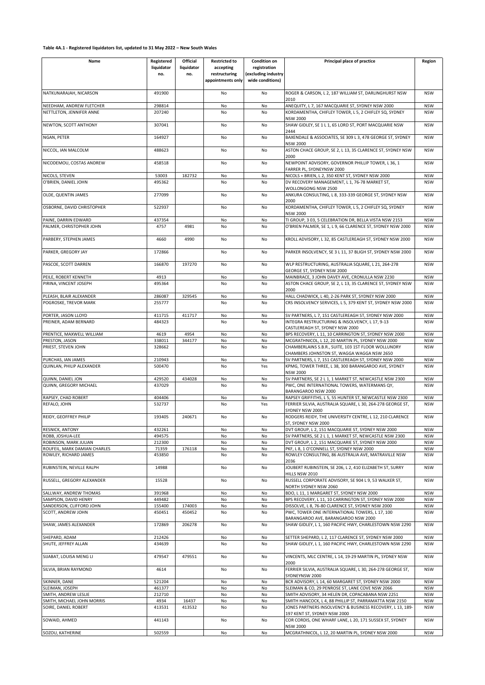| Name                                                 | Registered       | Official   | <b>Restricted to</b> | <b>Condition on</b> | Principal place of practice                                                                             | Region                   |
|------------------------------------------------------|------------------|------------|----------------------|---------------------|---------------------------------------------------------------------------------------------------------|--------------------------|
|                                                      | liquidator       | liquidator | accepting            | registration        |                                                                                                         |                          |
|                                                      | no.              | no.        | restructuring        | (excluding industry |                                                                                                         |                          |
|                                                      |                  |            | appointments only    | wide conditions)    |                                                                                                         |                          |
|                                                      |                  |            |                      |                     |                                                                                                         |                          |
| NATKUNARAJAH, NICARSON                               | 491900           |            | No                   | No                  | ROGER & CARSON, L 2, 187 WILLIAM ST, DARLINGHURST NSW                                                   | <b>NSW</b>               |
|                                                      |                  |            |                      |                     | 2010                                                                                                    |                          |
| NEEDHAM, ANDREW FLETCHER<br>NETTLETON, JENNIFER ANNE | 298814           |            | No                   | No                  | ANEQUITY, L 7, 167 MACQUARIE ST, SYDNEY NSW 2000                                                        | <b>NSW</b><br><b>NSW</b> |
|                                                      | 207240           |            | No                   | No                  | KORDAMENTHA, CHIFLEY TOWER, L 5, 2 CHIFLEY SQ, SYDNEY<br><b>NSW 2000</b>                                |                          |
| NEWTON, SCOTT ANTHONY                                | 307041           |            | No                   | No                  | SHAW GIDLEY, SE 1 L 1, 65 LORD ST, PORT MACQUARIE NSW                                                   | <b>NSW</b>               |
|                                                      |                  |            |                      |                     | 2444                                                                                                    |                          |
| NGAN, PETER                                          | 164927           |            | No                   | No                  | BAXENDALE & ASSOCIATES, SE 309 L 3, 478 GEORGE ST, SYDNEY                                               | <b>NSW</b>               |
|                                                      |                  |            |                      |                     | <b>NSW 2000</b>                                                                                         |                          |
| NICCOL, IAN MALCOLM                                  | 488623           |            | No                   | No                  | ASTON CHACE GROUP, SE 2, L 13, 35 CLARENCE ST, SYDNEY NSW                                               | <b>NSW</b>               |
|                                                      |                  |            |                      |                     | 2000                                                                                                    |                          |
| NICODEMOU, COSTAS ANDREW                             | 458518           |            | No                   | No                  | NEWPOINT ADVISORY, GOVERNOR PHILLIP TOWER, L 36, 1                                                      | <b>NSW</b>               |
|                                                      |                  |            |                      |                     | FARRER PL, SYDNEYNSW 2000                                                                               |                          |
| NICOLS, STEVEN                                       | 53003            | 182732     | No                   | No                  | NICOLS + BRIEN, L 2, 350 KENT ST, SYDNEY NSW 2000                                                       | <b>NSW</b>               |
| O'BRIEN, DANIEL JOHN                                 | 495362           |            | No                   | No                  | DV RECOVERY MANAGEMENT, L 1, 76-78 MARKET ST,                                                           | <b>NSW</b>               |
|                                                      |                  |            |                      |                     | WOLLONGONG NSW 2500                                                                                     |                          |
| OLDE, QUENTIN JAMES                                  | 277099           |            | No                   | No                  | ANKURA CONSULTING, L 8, 333-339 GEORGE ST, SYDNEY NSW                                                   | <b>NSW</b>               |
|                                                      |                  |            |                      |                     | 2000                                                                                                    |                          |
| OSBORNE, DAVID CHRISTOPHER                           | 522937           |            | No                   | No                  | KORDAMENTHA, CHIFLEY TOWER, L 5, 2 CHIFLEY SQ, SYDNEY<br><b>NSW 2000</b>                                | <b>NSW</b>               |
| PAINE. DARRIN EDWARD                                 | 437354           |            | No                   | No                  | TI GROUP, 3 03, 5 CELEBRATION DR, BELLA VISTA NSW 2153                                                  | <b>NSW</b>               |
| PALMER, CHRISTOPHER JOHN                             | 4757             | 4981       | No                   | No                  | O'BRIEN PALMER, SE 1, L 9, 66 CLARENCE ST, SYDNEY NSW 2000                                              | <b>NSW</b>               |
|                                                      |                  |            |                      |                     |                                                                                                         |                          |
| PARBERY, STEPHEN JAMES                               | 4660             | 4990       | No                   | No                  | KROLL ADVISORY, L 32, 85 CASTLEREAGH ST, SYDNEY NSW 2000                                                | <b>NSW</b>               |
|                                                      |                  |            |                      |                     |                                                                                                         |                          |
| PARKER, GREGORY JAY                                  | 172866           |            | No                   | No                  | PARKER INSOLVENCY, SE 3 L 11, 37 BLIGH ST, SYDNEY NSW 2000                                              | <b>NSW</b>               |
|                                                      |                  |            |                      |                     |                                                                                                         |                          |
| PASCOE, SCOTT DARREN                                 | 166870           | 197270     | No                   | No                  | WLP RESTRUCTURING, AUSTRALIA SQUARE, L 21, 264-278                                                      | <b>NSW</b>               |
|                                                      |                  |            |                      |                     | GEORGE ST, SYDNEY NSW 2000                                                                              |                          |
| PEILE, ROBERT KENNETH                                | 4913             |            | No                   | No                  | MAINBRACE, 3 JOHN DAVEY AVE, CRONULLA NSW 2230                                                          | <b>NSW</b>               |
| PIRINA, VINCENT JOSEPH                               | 495364           |            | No                   | No                  | ASTON CHACE GROUP, SE 2, L 13, 35 CLARENCE ST, SYDNEY NSW                                               | <b>NSW</b>               |
|                                                      |                  |            |                      |                     | 2000                                                                                                    |                          |
| PLEASH, BLAIR ALEXANDER                              | 286087           | 329545     | No                   | No                  | HALL CHADWICK, L 40, 2-26 PARK ST, SYDNEY NSW 2000                                                      | <b>NSW</b>               |
| POGROSKE, TREVOR MARK                                | 255777           |            | No                   | No                  | CRS INSOLVENCY SERVICES, L 5, 379 KENT ST, SYDNEY NSW 2000                                              | <b>NSW</b>               |
|                                                      |                  |            |                      |                     |                                                                                                         |                          |
| PORTER, JASON LLOYD<br>PREINER, ADAM BERNARD         | 411715<br>484323 | 411717     | No                   | No<br>No            | SV PARTNERS, L 7, 151 CASTLEREAGH ST, SYDNEY NSW 2000<br>INTEGRA RESTRUCTURING & INSOLVENCY, L 17, 9-13 | <b>NSW</b>               |
|                                                      |                  |            | No                   |                     | CASTLEREAGH ST, SYDNEY NSW 2000                                                                         | <b>NSW</b>               |
| PRENTICE, MAXWELL WILLIAM                            | 4619             | 4954       | No                   | No                  | BPS RECOVERY, L 11, 10 CARRINGTON ST, SYDNEY NSW 2000                                                   | <b>NSW</b>               |
| PRESTON, JASON                                       | 338011           | 344177     | No                   | No                  | MCGRATHNICOL, L 12, 20 MARTIN PL, SYDNEY NSW 2000                                                       | <b>NSW</b>               |
| PRIEST, STEVEN JOHN                                  | 328662           |            | No                   | No                  | CHAMBERLAINS S.B.R., SUITE, 103 1ST FLOOR WOLLUNDRY                                                     | <b>NSW</b>               |
|                                                      |                  |            |                      |                     | CHAMBERS JOHNSTON ST, WAGGA WAGGA NSW 2650                                                              |                          |
| PURCHAS, IAN JAMES                                   | 210943           |            | No                   | No                  | SV PARTNERS, L 7, 151 CASTLEREAGH ST, SYDNEY NSW 2000                                                   | <b>NSW</b>               |
| QUINLAN, PHILIP ALEXANDER                            | 500470           |            | No                   | Yes                 | KPMG, TOWER THREE, L 38, 300 BARANGAROO AVE, SYDNEY                                                     | <b>NSW</b>               |
|                                                      |                  |            |                      |                     | <b>NSW 2000</b>                                                                                         |                          |
| QUINN, DANIEL JON                                    | 429520           | 434028     | No                   | No                  | SV PARTNERS, SE 2 L 1, 1 MARKET ST, NEWCASTLE NSW 2300                                                  | <b>NSW</b>               |
| QUINN, GREGORY MICHAEL                               | 437029           |            | No                   | No                  | PWC, ONE INTERNATIONAL TOWERS, WATERMANS QY,                                                            | <b>NSW</b>               |
|                                                      |                  |            |                      |                     | BARANGAROO NSW 2000                                                                                     |                          |
| RAPSEY, CHAD ROBERT                                  | 404406           |            | No                   | No                  | RAPSEY GRIFFITHS, L 5, 55 HUNTER ST, NEWCASTLE NSW 2300                                                 | <b>NSW</b>               |
| REFALO, JOHN                                         | 532737           |            | No                   | Yes                 | FERRIER SILVIA, AUSTRALIA SQUARE, L 30, 264-278 GEORGE ST,                                              | <b>NSW</b>               |
|                                                      |                  |            |                      |                     | SYDNEY NSW 2000                                                                                         |                          |
| REIDY, GEOFFREY PHILIP                               | 193405           | 240671     | No                   | No                  | RODGERS REIDY, THE UNIVERSITY CENTRE, L 12, 210 CLARENCE                                                | <b>NSW</b>               |
| <b>RESNICK, ANTONY</b>                               | 432261           |            | No                   | No                  | ST, SYDNEY NSW 2000<br>DVT GROUP, L 2, 151 MACQUARIE ST, SYDNEY NSW 2000                                | <b>NSW</b>               |
| ROBB, JOSHUA-LEE                                     | 494575           |            | No                   | No                  | SV PARTNERS, SE 2 L 1, 1 MARKET ST, NEWCASTLE NSW 2300                                                  | <b>NSW</b>               |
| ROBINSON, MARK JULIAN                                | 212300           |            | No                   | No                  | DVT GROUP, L 2, 151 MACQUARIE ST, SYDNEY NSW 2000                                                       | <b>NSW</b>               |
| ROUFEIL, MARK DAMIAN CHARLES                         | 71359            | 176118     | No                   | No                  | PKF, L 8, 1 O'CONNELL ST, SYDNEY NSW 2000                                                               | <b>NSW</b>               |
| ROWLEY, RICHARD JAMES                                | 453850           |            | No                   | No                  | ROWLEY CONSULTING, 86 AUSTRALIA AVE, MATRAVILLE NSW                                                     | <b>NSW</b>               |
|                                                      |                  |            |                      |                     | 2036                                                                                                    |                          |
| RUBINSTEIN. NEVILLE RALPH                            | 14988            |            | No                   | No                  | JOUBERT RUBINSTEIN, SE 206, L 2, 410 ELIZABETH ST, SURRY                                                | <b>NSW</b>               |
|                                                      |                  |            |                      |                     | HILLS NSW 2010                                                                                          |                          |
| RUSSELL, GREGORY ALEXANDER                           | 15528            |            | No                   | No                  | RUSSELL CORPORATE ADVISORY, SE 904 L 9, 53 WALKER ST,                                                   | <b>NSW</b>               |
|                                                      |                  |            |                      |                     | NORTH SYDNEY NSW 2060                                                                                   |                          |
| SALLWAY, ANDREW THOMAS                               | 391968           |            | No                   | No                  | BDO, L 11, 1 MARGARET ST, SYDNEY NSW 2000                                                               | <b>NSW</b>               |
| SAMPSON, DAVID HENRY                                 | 449482           |            | No                   | No                  | BPS RECOVERY, L 11, 10 CARRINGTON ST, SYDNEY NSW 2000                                                   | <b>NSW</b>               |
| SANDERSON, CLIFFORD JOHN                             | 155400           | 174003     | No                   | No                  | DISSOLVE, L 8, 76-80 CLARENCE ST, SYDNEY NSW 2000                                                       | <b>NSW</b>               |
| SCOTT, ANDREW JOHN                                   | 450451           | 450452     | No                   | No                  | PWC, TOWER ONE INTERNATIONAL TOWERS, L 17, 100                                                          | <b>NSW</b>               |
| SHAW, JAMES ALEXANDER                                | 172869           | 206278     | No                   | No                  | BARANGAROO AVE, BARANGAROO NSW 2000<br>SHAW GIDLEY, L 1, 160 PACIFIC HWY, CHARLESTOWN NSW 2290          | <b>NSW</b>               |
|                                                      |                  |            |                      |                     |                                                                                                         |                          |
| SHEPARD, ADAM                                        | 212426           |            | No                   | No                  | SETTER SHEPARD, L 2, 117 CLARENCE ST, SYDNEY NSW 2000                                                   | <b>NSW</b>               |
| SHUTE, JEFFREY ALLAN                                 | 434639           |            | No                   | No                  | SHAW GIDLEY, L 1, 160 PACIFIC HWY, CHARLESTOWN NSW 2290                                                 | <b>NSW</b>               |
|                                                      |                  |            |                      |                     |                                                                                                         |                          |
| SIJABAT, LOUISA MENG LI                              | 479547           | 479551     | No                   | No                  | VINCENTS, MLC CENTRE, L 14, 19-29 MARTIN PL, SYDNEY NSW                                                 | <b>NSW</b>               |
|                                                      |                  |            |                      |                     | 2000                                                                                                    |                          |
| SILVIA, BRIAN RAYMOND                                | 4614             |            | No                   | No                  | FERRIER SILVIA, AUSTRALIA SQUARE, L 30, 264-278 GEORGE ST,                                              | <b>NSW</b>               |
|                                                      |                  |            |                      |                     | SYDNEYNSW 2000                                                                                          |                          |
| SKINNER, DANE                                        | 521204           |            | No                   | No                  | BCR ADVISORY, L 14, 60 MARGARET ST, SYDNEY NSW 2000                                                     | <b>NSW</b>               |
| SLEIMAN, JOSEPH                                      | 461377           |            | No                   | No                  | SLEIMAN & CO, 29 PENROSE ST, LANE COVE NSW 2066                                                         | <b>NSW</b>               |
| SMITH, ANDREW LESLIE                                 | 212710           |            | No                   | No                  | SMITH ADVISORY, 34 HELEN DR, COPACABANA NSW 2251                                                        | <b>NSW</b>               |
| SMITH, MICHAEL JOHN MORRIS                           | 4934             | 16437      | No                   | No                  | SMITH HANCOCK, L 4, 88 PHILLIP ST, PARRAMATTA NSW 2150                                                  | <b>NSW</b>               |
| SOIRE, DANIEL ROBERT                                 | 413531           | 413532     | No                   | No                  | JONES PARTNERS INSOLVENCY & BUSINESS RECOVERY, L 13, 189-                                               | <b>NSW</b>               |
|                                                      |                  |            |                      |                     | 197 KENT ST, SYDNEY NSW 2000                                                                            |                          |
| SOWAID, AHMED                                        | 441143           |            | No                   | No                  | COR CORDIS, ONE WHARF LANE, L 20, 171 SUSSEX ST, SYDNEY<br><b>NSW 2000</b>                              | <b>NSW</b>               |
| SOZOU, KATHERINE                                     | 502559           |            | No                   | No                  | MCGRATHNICOL, L 12, 20 MARTIN PL, SYDNEY NSW 2000                                                       | <b>NSW</b>               |
|                                                      |                  |            |                      |                     |                                                                                                         |                          |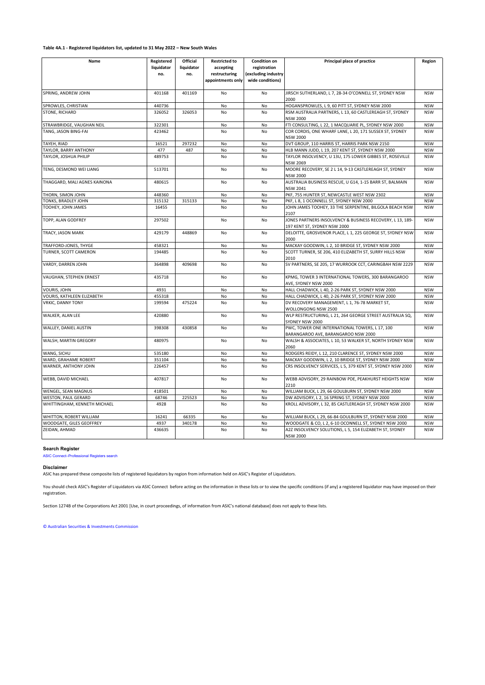| Name                         | Registered | Official   | <b>Restricted to</b> | <b>Condition on</b> | Principal place of practice                                                               | Region     |
|------------------------------|------------|------------|----------------------|---------------------|-------------------------------------------------------------------------------------------|------------|
|                              | liquidator | liquidator | accepting            | registration        |                                                                                           |            |
|                              | no.        | no.        | restructuring        | (excluding industry |                                                                                           |            |
|                              |            |            | appointments only    | wide conditions)    |                                                                                           |            |
| SPRING, ANDREW JOHN          | 401168     | 401169     | No                   | No                  | JIRSCH SUTHERLAND, L 7, 28-34 O'CONNELL ST, SYDNEY NSW<br>2000                            | <b>NSW</b> |
| SPROWLES, CHRISTIAN          | 440736     |            | <b>No</b>            | <b>No</b>           | HOGANSPROWLES, L 9, 60 PITT ST, SYDNEY NSW 2000                                           | <b>NSW</b> |
| STONE, RICHARD               | 326052     | 326053     | <b>No</b>            | No                  | RSM AUSTRALIA PARTNERS, L 13, 60 CASTLEREAGH ST, SYDNEY<br><b>NSW 2000</b>                | <b>NSW</b> |
| STRAWBRIDGE, VAUGHAN NEIL    | 322301     |            | No                   | No                  | FTI CONSULTING, L 22, 1 MACQUARIE PL, SYDNEY NSW 2000                                     | <b>NSW</b> |
| TANG, JASON BING-FAI         | 423462     |            | No                   | No                  | COR CORDIS, ONE WHARF LANE, L 20, 171 SUSSEX ST, SYDNEY<br><b>NSW 2000</b>                | <b>NSW</b> |
| TAYEH, RIAD                  | 16521      | 297232     | No                   | No                  | DVT GROUP, 110 HARRIS ST, HARRIS PARK NSW 2150                                            | <b>NSW</b> |
| TAYLOR, BARRY ANTHONY        | 477        | 487        | No                   | No                  | HLB MANN JUDD, L 19, 207 KENT ST, SYDNEY NSW 2000                                         | <b>NSW</b> |
| TAYLOR, JOSHUA PHILIP        | 489753     |            | No                   | No                  | TAYLOR INSOLVENCY, U 13U, 175 LOWER GIBBES ST, ROSEVILLE<br><b>NSW 2069</b>               | <b>NSW</b> |
| TENG, DESMOND WEI LIANG      | 513701     |            | No                   | No                  | MOORE RECOVERY, SE 2 L 14, 9-13 CASTLEREAGH ST, SYDNEY<br><b>NSW 2000</b>                 | <b>NSW</b> |
| THAGGARD, MALI AGNES KAINONA | 480615     |            | No                   | No                  | AUSTRALIA BUSINESS RESCUE, U G14, 1-15 BARR ST, BALMAIN<br><b>NSW 2041</b>                | <b>NSW</b> |
| THORN, SIMON JOHN            | 448360     |            | No                   | No                  | PKF, 755 HUNTER ST, NEWCASTLE WEST NSW 2302                                               | <b>NSW</b> |
| TONKS, BRADLEY JOHN          | 315132     | 315133     | No                   | No                  | PKF, L 8, 1 OCONNELL ST, SYDNEY NSW 2000                                                  | <b>NSW</b> |
| TOOHEY, JOHN JAMES           | 16455      |            | No                   | No                  | JOHN JAMES TOOHEY, 33 THE SERPENTINE, BILGOLA BEACH NSW<br>2107                           | <b>NSW</b> |
| TOPP, ALAN GODFREY           | 297502     |            | No                   | No                  | JONES PARTNERS INSOLVENCY & BUSINESS RECOVERY, L 13, 189-<br>197 KENT ST, SYDNEY NSW 2000 | <b>NSW</b> |
| TRACY, JASON MARK            | 429179     | 448869     | No                   | No                  | DELOITTE, GROSVENOR PLACE, L 1, 225 GEORGE ST, SYDNEY NSW<br>2000                         | <b>NSW</b> |
| TRAFFORD-JONES, THYGE        | 458321     |            | No                   | No                  | MACKAY GOODWIN, L 2, 10 BRIDGE ST, SYDNEY NSW 2000                                        | <b>NSW</b> |
| TURNER, SCOTT CAMERON        | 194485     |            | No                   | No                  | SCOTT TURNER, SE 206, 410 ELIZABETH ST, SURRY HILLS NSW<br>2010                           | <b>NSW</b> |
| VARDY, DARREN JOHN           | 364898     | 409698     | No                   | <b>No</b>           | SV PARTNERS, SE 205, 17 WURROOK CCT, CARINGBAH NSW 2229                                   | <b>NSW</b> |
| VAUGHAN, STEPHEN ERNEST      | 435718     |            | <b>No</b>            | <b>No</b>           | KPMG, TOWER 3 INTERNATIONAL TOWERS, 300 BARANGAROO<br>AVE, SYDNEY NSW 2000                | <b>NSW</b> |
| VOURIS, JOHN                 | 4931       |            | No                   | No                  | HALL CHADWICK, L 40, 2-26 PARK ST, SYDNEY NSW 2000                                        | <b>NSW</b> |
| VOURIS, KATHLEEN ELIZABETH   | 455318     |            | No                   | No                  | HALL CHADWICK, L 40, 2-26 PARK ST, SYDNEY NSW 2000                                        | <b>NSW</b> |
| <b>VRKIC, DANNY TONY</b>     | 199594     | 475224     | No                   | No                  | DV RECOVERY MANAGEMENT, L 1, 76-78 MARKET ST,<br>WOLLONGONG NSW 2500                      | <b>NSW</b> |
| WALKER, ALAN LEE             | 420880     |            | No                   | No                  | WLP RESTRUCTURING, L 21, 264 GEORGE STREET AUSTRALIA SQ,<br>SYDNEY NSW 2000               | <b>NSW</b> |
| WALLEY, DANIEL AUSTIN        | 398308     | 430858     | No                   | No                  | PWC, TOWER ONE INTERNATIONAL TOWERS, L 17, 100<br>BARANGAROO AVE, BARANGAROO NSW 2000     | <b>NSW</b> |
| WALSH, MARTIN GREGORY        | 480975     |            | No                   | No                  | WALSH & ASSOCIATES, L 10, 53 WALKER ST, NORTH SYDNEY NSW<br>2060                          | <b>NSW</b> |
| WANG, SICHU                  | 535180     |            | No                   | No                  | RODGERS REIDY, L 12, 210 CLARENCE ST, SYDNEY NSW 2000                                     | <b>NSW</b> |
| WARD, GRAHAME ROBERT         | 351104     |            | No                   | No                  | MACKAY GOODWIN, L 2, 10 BRIDGE ST, SYDNEY NSW 2000                                        | <b>NSW</b> |
| WARNER, ANTHONY JOHN         | 226457     |            | No                   | No                  | CRS INSOLVENCY SERVICES, L 5, 379 KENT ST, SYDNEY NSW 2000                                | <b>NSW</b> |
| WEBB, DAVID MICHAEL          | 407817     |            | No                   | No                  | WEBB ADVISORY, 29 RAINBOW PDE, PEAKHURST HEIGHTS NSW<br>2210                              | <b>NSW</b> |
| WENGEL, SEAN MAGNUS          | 418501     |            | No                   | No                  | WILLIAM BUCK, L 29, 66 GOULBURN ST, SYDNEY NSW 2000                                       | <b>NSW</b> |
| <b>WESTON, PAUL GERARD</b>   | 68746      | 225523     | No                   | No                  | DW ADVISORY, L 2, 16 SPRING ST, SYDNEY NSW 2000                                           | <b>NSW</b> |
| WHITTINGHAM, KENNETH MICHAEL | 4928       |            | No                   | No                  | KROLL ADVISORY, L 32, 85 CASTLEREAGH ST, SYDNEY NSW 2000                                  | <b>NSW</b> |
| WHITTON, ROBERT WILLIAM      | 16241      | 66335      | No                   | No                  | WILLIAM BUCK, L 29, 66-84 GOULBURN ST, SYDNEY NSW 2000                                    | <b>NSW</b> |
| WOODGATE, GILES GEOFFREY     | 4937       | 340178     | No                   | No                  | WOODGATE & CO, L 2, 6-10 OCONNELL ST, SYDNEY NSW 2000                                     | <b>NSW</b> |
| ZEIDAN, AHMAD                | 436635     |            | No                   | No                  | A2Z INSOLVENCY SOLUTIONS, L 5, 154 ELIZABETH ST, SYDNEY<br><b>NSW 2000</b>                | <b>NSW</b> |

#### **Search Register**

[ASIC Connect–Professional Registers search](https://connectonline.asic.gov.au/RegistrySearch/faces/landing/ProfessionalRegisters.jspx?_adf.ctrl-state=9r4wadt8a_46)

#### **Disclaimer**

ASIC has prepared these composite lists of registered liquidators by region from information held on ASIC's Register of Liquidators.

You should check ASIC's Register of Liquidators via ASIC Connect before acting on the information in these lists or to view the specific conditions (if any) a registered liquidator may have imposed on their registration.

Section 1274B of the Corporations Act 2001 [Use, in court proceedings, of information from ASIC's national database] does not apply to these lists.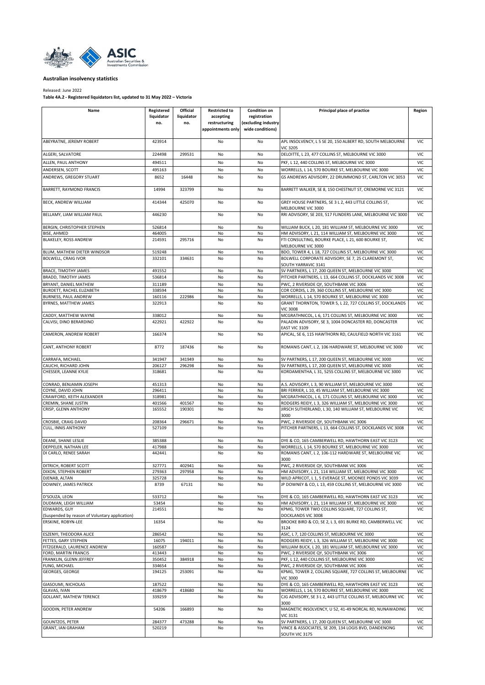<span id="page-6-0"></span>

Released: June 2022

**Table 4A.2 - Registered liquidators list, updated to 31 May 2022 – Victoria**

| Name                                                       | Registered       | Official   | <b>Restricted to</b> | <b>Condition on</b> | Principal place of practice                                                                                       | Region            |
|------------------------------------------------------------|------------------|------------|----------------------|---------------------|-------------------------------------------------------------------------------------------------------------------|-------------------|
|                                                            | liquidator       | liquidator | accepting            | registration        |                                                                                                                   |                   |
|                                                            | no.              | no.        | restructuring        | (excluding industry |                                                                                                                   |                   |
|                                                            |                  |            | appointments only    | wide conditions)    |                                                                                                                   |                   |
|                                                            |                  |            |                      |                     |                                                                                                                   |                   |
| ABEYRATNE, JEREMY ROBERT                                   | 423914           |            | No                   | No                  | APL INSOLVENCY, L 5 SE 20, 150 ALBERT RD, SOUTH MELBOURNE<br><b>VIC 3205</b>                                      | <b>VIC</b>        |
| ALGERI. SALVATORE                                          | 224498           | 299531     | No                   | No                  | DELOITTE, L 23, 477 COLLINS ST, MELBOURNE VIC 3000                                                                | <b>VIC</b>        |
| ALLEN, PAUL ANTHONY                                        | 494511           |            | No                   | No                  | PKF, L 12, 440 COLLINS ST, MELBOURNE VIC 3000                                                                     | VIC               |
| ANDERSEN, SCOTT                                            | 495163           |            | No                   | No                  | WORRELLS, L 14, 570 BOURKE ST, MELBOURNE VIC 3000                                                                 | VIC               |
| ANDREWS, GREGORY STUART                                    | 8652             | 16448      | No                   | No                  | GS ANDREWS ADVISORY, 22 DRUMMOND ST, CARLTON VIC 3053                                                             | VIC               |
|                                                            |                  |            |                      |                     |                                                                                                                   |                   |
| BARRETT, RAYMOND FRANCIS                                   | 14994            | 323799     | No                   | No                  | BARRETT WALKER, SE 8, 150 CHESTNUT ST, CREMORNE VIC 3121                                                          | <b>VIC</b>        |
| BECK, ANDREW WILLIAM                                       | 414344           | 425070     | No                   | No                  | GREY HOUSE PARTNERS, SE 3 L 2, 443 LITTLE COLLINS ST,<br>MELBOURNE VIC 3000                                       | VIC               |
| BELLAMY, LIAM WILLIAM PAUL                                 | 446230           |            | No                   | No                  | RRI ADVISORY, SE 203, 517 FLINDERS LANE, MELBOURNE VIC 3000                                                       | VIC               |
| BERGIN, CHRISTOPHER STEPHEN                                | 526814           |            | No                   | No                  | WILLIAM BUCK, L 20, 181 WILLIAM ST, MELBOURNE VIC 3000                                                            | <b>VIC</b>        |
| <b>BISE, AHMED</b>                                         | 464005           |            | No                   | No                  | HM ADVISORY, L 21, 114 WILLIAM ST, MELBOURNE VIC 3000                                                             | VIC               |
| BLAKELEY, ROSS ANDREW                                      | 214591           | 295716     | No                   | No                  | FTI CONSULTING, BOURKE PLACE, L 21, 600 BOURKE ST,                                                                | VIC               |
|                                                            |                  |            |                      |                     | MELBOURNE VIC 3000                                                                                                |                   |
| BLUM, MATHEW DIETER WINDSOR                                | 519248           |            | No                   | Yes                 | BDO, TOWER 4, L 18, 727 COLLINS ST, MELBOURNE VIC 3000                                                            | VIC               |
| <b>BOLWELL, CRAIG IVOR</b>                                 | 332101           | 334631     | No                   | No                  | BOLWELL CORPORATE ADVISORY, SE 7, 25 CLAREMONT ST,                                                                | <b>VIC</b>        |
|                                                            |                  |            |                      |                     | SOUTH YARRAVIC 3141                                                                                               |                   |
| <b>BRACE, TIMOTHY JAMES</b><br><b>BRADD, TIMOTHY JAMES</b> | 491552           |            | No                   | No                  | SV PARTNERS, L 17, 200 QUEEN ST, MELBOURNE VIC 3000                                                               | VIC               |
|                                                            | 536814           |            | No                   | No                  | PITCHER PARTNERS, L 13, 664 COLLINS ST, DOCKLANDS VIC 3008                                                        | VIC               |
| BRYANT, DANIEL MATHEW                                      | 311189           |            | No                   | No                  | PWC, 2 RIVERSIDE QY, SOUTHBANK VIC 3006<br>COR CORDIS, L 29, 360 COLLINS ST, MELBOURNE VIC 3000                   | VIC<br>VIC        |
| BURDETT, RACHEL ELIZABETH<br>BURNESS, PAUL ANDREW          | 338594<br>160116 | 222986     | No<br>No             | No<br>No            | WORRELLS, L 14, 570 BOURKE ST, MELBOURNE VIC 3000                                                                 | VIC               |
| BYRNES, MATTHEW JAMES                                      | 322913           |            | No                   | No                  | GRANT THORNTON, TOWER 5, L 22, 727 COLLINS ST, DOCKLANDS                                                          | VIC               |
|                                                            |                  |            |                      |                     | <b>VIC 3008</b>                                                                                                   |                   |
| CADDY, MATTHEW WAYNE                                       | 338012           |            | No                   | No                  | MCGRATHNICOL, L 6, 171 COLLINS ST, MELBOURNE VIC 3000                                                             | VIC               |
| CALVISI, DINO BERARDINO                                    | 422921           | 422922     | No                   | No                  | PALADIN ADVISORY, SE 3, 1004 DONCASTER RD, DONCASTER                                                              | VIC               |
|                                                            |                  |            |                      |                     | EAST VIC 3109                                                                                                     |                   |
| CAMERON, ANDREW ROBERT                                     | 166374           |            | No                   | No                  | APICAL, SE 6, 115 HAWTHORN RD, CAULFIELD NORTH VIC 3161                                                           | VIC               |
| CANT, ANTHONY ROBERT                                       | 8772             | 187436     | No                   | No                  | ROMANIS CANT, L 2, 106 HARDWARE ST, MELBOURNE VIC 3000                                                            | <b>VIC</b>        |
| CARRAFA, MICHAEL                                           | 341947           | 341949     | No                   | No                  | SV PARTNERS, L 17, 200 QUEEN ST, MELBOURNE VIC 3000                                                               | VIC               |
| CAUCHI, RICHARD JOHN                                       | 206127           | 296298     | No                   | No                  | SV PARTNERS, L 17, 200 QUEEN ST, MELBOURNE VIC 3000                                                               | VIC               |
| CHESSER, LEANNE KYLIE                                      | 318681           |            | No                   | No                  | KORDAMENTHA, L 31, 525S COLLINS ST, MELBOURNE VIC 3000                                                            | <b>VIC</b>        |
| CONRAD, BENJAMIN JOSEPH                                    | 451313           |            | No                   | No                  | A.S. ADVISORY, L 3, 90 WILLIAM ST, MELBOURNE VIC 3000                                                             | VIC               |
| COYNE, DAVID JOHN                                          | 296411           |            | No                   | No                  | BRI FERRIER, L 10, 45 WILLIAM ST, MELBOURNE VIC 3000                                                              | VIC               |
| CRAWFORD, KEITH ALEXANDER                                  | 318981           |            | No                   | No                  | MCGRATHNICOL, L 6, 171 COLLINS ST, MELBOURNE VIC 3000                                                             | VIC               |
| CREMIN, SHANE JUSTIN                                       | 401566           | 401567     | No                   | No                  | RODGERS REIDY, L 3, 326 WILLIAM ST, MELBOURNE VIC 3000                                                            | VIC               |
| CRISP, GLENN ANTHONY                                       | 165552           | 190301     | No                   | No                  | JIRSCH SUTHERLAND, L 30, 140 WILLIAM ST, MELBOURNE VIC<br>3000                                                    | <b>VIC</b>        |
| CROSBIE, CRAIG DAVID                                       | 208364           | 296671     | No                   | No                  | PWC, 2 RIVERSIDE QY, SOUTHBANK VIC 3006                                                                           | VIC               |
| <b>CULL, INNIS ANTHONY</b>                                 | 527109           |            | No                   | Yes                 | PITCHER PARTNERS, L 13, 664 COLLINS ST, DOCKLANDS VIC 3008                                                        | VIC               |
| DEANE, SHANE LESLIE                                        | 385388           |            | No                   | No                  | DYE & CO, 165 CAMBERWELL RD, HAWTHORN EAST VIC 3123                                                               | VIC               |
| DEPPELER, NATHAN LEE                                       | 417988           |            | No                   | No                  | WORRELLS, L 14, 570 BOURKE ST, MELBOURNE VIC 3000                                                                 | VIC               |
| DI CARLO, RENEE SARAH                                      | 442441           |            | No                   | No                  | ROMANIS CANT, L 2, 106-112 HARDWARE ST, MELBOURNE VIC<br>3000                                                     | VIC               |
| DITRICH, ROBERT SCOTT                                      | 327771           | 402941     | No                   | No                  | PWC, 2 RIVERSIDE QY, SOUTHBANK VIC 3006                                                                           | VIC               |
| DIXON, STEPHEN ROBERT                                      | 279363           | 297958     | NO                   | No                  | HM ADVISORY, L 21, 114 WILLIAM ST, MELBOURNE VIC 3000                                                             | vic               |
| DJENAB, ALTAN                                              | 325728           |            | No                   | No                  | WILD APRICOT, L 1, 5 EVERAGE ST, MOONEE PONDS VIC 3039                                                            | VIC               |
| <b>DOWNEY, JAMES PATRICK</b>                               | 8739             | 67131      | No                   | No                  | JP DOWNEY & CO, L 13, 459 COLLINS ST, MELBOURNE VIC 3000                                                          | <b>VIC</b>        |
| D'SOUZA, LEON                                              | 533712           |            | No                   | Yes                 | DYE & CO, 165 CAMBERWELL RD, HAWTHORN EAST VIC 3123                                                               | VIC               |
| DUDMAN, LEIGH WILLIAM                                      | 53454            |            | No                   | No                  | HM ADVISORY, L 21, 114 WILLIAM ST, MELBOURNE VIC 3000                                                             | VIC               |
| <b>EDWARDS, GUY</b>                                        | 214551           |            | No                   | No                  | KPMG, TOWER TWO COLLINS SQUARE, 727 COLLINS ST,                                                                   | VIC               |
| (Suspended by reason of Voluntary application)             |                  |            |                      |                     | DOCKLANDS VIC 3008                                                                                                |                   |
| ERSKINE, ROBYN-LEE                                         | 16354            |            | No                   | No                  | BROOKE BIRD & CO, SE 2, L 3, 691 BURKE RD, CAMBERWELL VIC<br>3124                                                 | VIC               |
| ESZENYI, THEODORA ALICE                                    | 286542           |            | No                   | No                  | ASIC, L 7, 120 COLLINS ST, MELBOURNE VIC 3000                                                                     | VIC               |
| FETTES, GARY STEPHEN                                       | 16075            | 194011     | No                   | No                  | RODGERS REIDY, L 3, 326 WILLIAM ST, MELBOURNE VIC 3000                                                            | <b>VIC</b>        |
| FITZGERALD, LAURENCE ANDREW                                | 160587           |            | No                   | No                  | WILLIAM BUCK, L 20, 181 WILLIAM ST, MELBOURNE VIC 3000                                                            | VIC               |
| FORD, MARTIN FRANCIS                                       | 413443           |            | No                   | No                  | PWC, 2 RIVERSIDE QY, SOUTHBANK VIC 3006                                                                           | VIC               |
| FRANKLIN, GLENN JEFFREY<br>FUNG, MICHAEL                   | 350452<br>334654 | 384918     | No<br>No             | No<br>No            | PKF, L 12, 440 COLLINS ST, MELBOURNE VIC 3000<br>PWC, 2 RIVERSIDE QY, SOUTHBANK VIC 3006                          | VIC<br>VIC        |
| GEORGES, GEORGE                                            | 194125           | 253091     | No                   | No                  | KPMG, TOWER 2, COLLINS SQUARE, 727 COLLINS ST, MELBOURNE                                                          | <b>VIC</b>        |
|                                                            |                  |            |                      |                     | <b>VIC 3000</b>                                                                                                   |                   |
| GIASOUMI, NICHOLAS                                         | 187522           |            | No                   | No                  | DYE & CO, 165 CAMBERWELL RD, HAWTHORN EAST VIC 3123                                                               | <b>VIC</b>        |
| <b>GLAVAS, IVAN</b><br><b>GOLLANT, MATHEW TERENCE</b>      | 418679<br>339259 | 418680     | No<br>No             | No<br>No            | WORRELLS, L 14, 570 BOURKE ST, MELBOURNE VIC 3000<br>CJG ADVISORY, SE 3 L 2, 443 LITTLE COLLINS ST, MELBOURNE VIC | VIC<br><b>VIC</b> |
|                                                            |                  |            |                      |                     | 3000                                                                                                              |                   |
| GOODIN, PETER ANDREW                                       | 54206            | 166893     | No                   | No                  | MAGNETIC INSOLVENCY, U 52, 41-49 NORCAL RD, NUNAWADING<br><b>VIC 3131</b>                                         | VIC               |
| <b>GOUNTZOS, PETER</b>                                     | 284377           | 473288     | No                   | No                  | SV PARTNERS, L 17, 200 QUEEN ST, MELBOURNE VIC 3000                                                               | VIC               |
| <b>GRANT, IAN GRAHAM</b>                                   | 520219           |            | No                   | Yes                 | VINCE & ASSOCIATES, SE 209, 134 LOGIS BVD, DANDENONG                                                              | VIC               |
|                                                            |                  |            |                      |                     | SOUTH VIC 3175                                                                                                    |                   |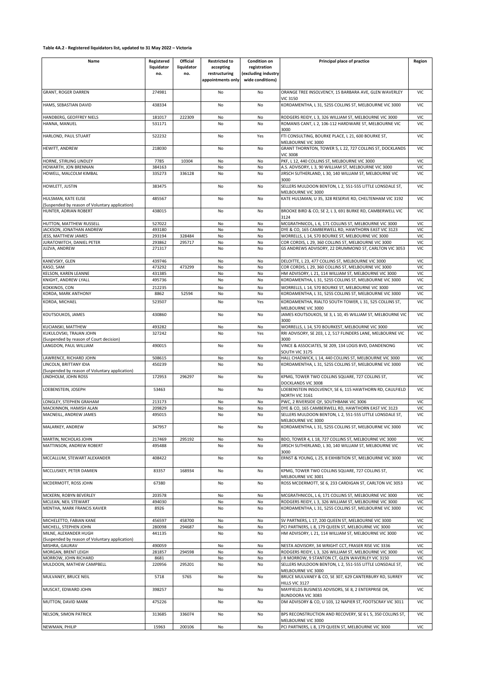## **Table 4A.2 - Registered liquidators list, updated to 31 May 2022 – Victoria**

| Name                                                             | Registered        | Official          | <b>Restricted to</b>                            | <b>Condition on</b>                                     | Principal place of practice                                                                                       | Region                   |
|------------------------------------------------------------------|-------------------|-------------------|-------------------------------------------------|---------------------------------------------------------|-------------------------------------------------------------------------------------------------------------------|--------------------------|
|                                                                  | liquidator<br>no. | liquidator<br>no. | accepting<br>restructuring<br>appointments only | registration<br>(excluding industry<br>wide conditions) |                                                                                                                   |                          |
| <b>GRANT, ROGER DARREN</b>                                       | 274981            |                   | No                                              | No                                                      | ORANGE TREE INSOLVENCY, 15 BARBARA AVE, GLEN WAVERLEY<br><b>VIC 3150</b>                                          | <b>VIC</b>               |
| HAMS, SEBASTIAN DAVID                                            | 438334            |                   | No                                              | No                                                      | KORDAMENTHA, L 31, 525S COLLINS ST, MELBOURNE VIC 3000                                                            | VIC                      |
| HANDBERG, GEOFFREY NIELS                                         | 181017            | 222309            | No                                              | No                                                      | RODGERS REIDY, L 3, 326 WILLIAM ST, MELBOURNE VIC 3000                                                            | VIC                      |
| HANNA, MANUEL                                                    | 531171            |                   | No                                              | No                                                      | ROMANIS CANT, L 2, 106-112 HARDWARE ST, MELBOURNE VIC<br>3000                                                     | <b>VIC</b>               |
| HARLOND, PAUL STUART                                             | 522232            |                   | No                                              | Yes                                                     | FTI CONSULTING, BOURKE PLACE, L 21, 600 BOURKE ST,                                                                | <b>VIC</b>               |
| HEWITT, ANDREW                                                   | 218030            |                   | No                                              | No                                                      | MELBOURNE VIC 3000<br>GRANT THORNTON, TOWER 5, L 22, 727 COLLINS ST, DOCKLANDS                                    | <b>VIC</b>               |
|                                                                  |                   |                   |                                                 |                                                         | <b>VIC 3008</b><br>PKF, L 12, 440 COLLINS ST, MELBOURNE VIC 3000                                                  |                          |
| HORNE, STIRLING LINDLEY<br>HOWARTH, JON BRENNAN                  | 7785<br>384163    | 10304             | No<br>No                                        | No<br>No                                                | A.S. ADVISORY, L 3, 90 WILLIAM ST, MELBOURNE VIC 3000                                                             | VIC<br><b>VIC</b>        |
| HOWELL, MALCOLM KIMBAL                                           | 335273            | 336128            | No                                              | No                                                      | JIRSCH SUTHERLAND, L 30, 140 WILLIAM ST, MELBOURNE VIC                                                            | <b>VIC</b>               |
|                                                                  |                   |                   |                                                 |                                                         | 3000                                                                                                              |                          |
| HOWLETT, JUSTIN                                                  | 383475            |                   | No                                              | No                                                      | SELLERS MULDOON BENTON, L 2, 551-555 LITTLE LONSDALE ST,<br>MELBOURNE VIC 3000                                    | <b>VIC</b>               |
| HULSMAN, KATE ELISE                                              | 485567            |                   | No                                              | No                                                      | KATE HULSMAN, U 35, 328 RESERVE RD, CHELTENHAM VIC 3192                                                           | <b>VIC</b>               |
| (Suspended by reason of Voluntary application)                   |                   |                   |                                                 |                                                         |                                                                                                                   |                          |
| HUNTER, ADRIAN ROBERT                                            | 438015            |                   | No                                              | No                                                      | BROOKE BIRD & CO, SE 2, L 3, 691 BURKE RD, CAMBERWELL VIC<br>3124                                                 | VIC                      |
| HUTTON, MATTHEW RUSSELL                                          | 527022            |                   | No                                              | No                                                      | MCGRATHNICOL, L 6, 171 COLLINS ST, MELBOURNE VIC 3000                                                             | <b>VIC</b>               |
| JACKSON, JONATHAN ANDREW                                         | 493180            |                   | No                                              | No                                                      | DYE & CO, 165 CAMBERWELL RD, HAWTHORN EAST VIC 3123                                                               | <b>VIC</b>               |
| JESS, MATTHEW JAMES                                              | 293194            | 328484            | No                                              | No                                                      | WORRELLS, L 14, 570 BOURKE ST, MELBOURNE VIC 3000                                                                 | <b>VIC</b>               |
| JURATOWITCH, DANIEL PETER                                        | 293862<br>271317  | 295717            | No                                              | No<br>No                                                | COR CORDIS, L 29, 360 COLLINS ST, MELBOURNE VIC 3000<br>GS ANDREWS ADVISORY, 22 DRUMMOND ST, CARLTON VIC 3053     | VIC<br><b>VIC</b>        |
| JUZVA, ANDREW                                                    |                   |                   | No                                              |                                                         |                                                                                                                   |                          |
| KANEVSKY, GLEN                                                   | 439746            |                   | No                                              | No                                                      | DELOITTE, L 23, 477 COLLINS ST, MELBOURNE VIC 3000                                                                | VIC                      |
| KASO, SAM                                                        | 473292            | 473299            | No                                              | No                                                      | COR CORDIS, L 29, 360 COLLINS ST, MELBOURNE VIC 3000                                                              | VIC                      |
| KELSON, KAREN LEANNE<br>KNIGHT, ANDREW LYALL                     | 431385<br>495736  |                   | No<br>No                                        | No<br>No                                                | HM ADVISORY, L 21, 114 WILLIAM ST, MELBOURNE VIC 3000<br>KORDAMENTHA, L 31, 525S COLLINS ST, MELBOURNE VIC 3000   | VIC<br><b>VIC</b>        |
|                                                                  |                   |                   |                                                 |                                                         |                                                                                                                   |                          |
| KOKKINOS, CON                                                    | 212235            | 52594             | No                                              | No<br>No                                                | WORRELLS, L 14, 570 BOURKE ST, MELBOURNE VIC 3000                                                                 | VIC<br><b>VIC</b>        |
| KORDA, MARK ANTHONY<br>KORDA, MICHAEL                            | 8862<br>523507    |                   | No<br>No                                        | Yes                                                     | KORDAMENTHA, L 31, 525S COLLINS ST, MELBOURNE VIC 3000<br>KORDAMENTHA, RIALTO SOUTH TOWER, L 31, 525 COLLINS ST,  | VIC                      |
|                                                                  |                   |                   |                                                 |                                                         | MELBOURNE VIC 3000                                                                                                |                          |
| KOUTSOUKOS, JAMES                                                | 430860            |                   | No                                              | No                                                      | JAMES KOUTSOUKOS, SE 3, L 10, 45 WILLIAM ST, MELBOURNE VIC<br>3000                                                | <b>VIC</b>               |
| KUCIANSKI, MATTHEW                                               | 493282            |                   | No                                              | No                                                      | WORRELLS, L 14, 570 BOURKEST, MELBOURNE VIC 3000                                                                  | <b>VIC</b>               |
| KUKULOVSKI, TRAJAN JOHN                                          | 327242            |                   | No                                              | Yes                                                     | RRI ADVISORY, SE 203, L 2, 517 FLINDERS LANE, MELBOURNE VIC                                                       | <b>VIC</b>               |
| (Suspended by reason of Court decision)<br>LANGDON, PAUL WILLIAM | 490015            |                   | No                                              | No                                                      | 3000<br>VINCE & ASSOCIATES, SE 209, 134 LOGIS BVD, DANDENONG                                                      | <b>VIC</b>               |
|                                                                  |                   |                   |                                                 |                                                         | SOUTH VIC 3175                                                                                                    |                          |
| LAWRENCE, RICHARD JOHN<br>LINCOLN, BRITTANY IDIA                 | 508615<br>450239  |                   | No<br>No                                        | No<br>No                                                | HALL CHADWICK, L 14, 440 COLLINS ST, MELBOURNE VIC 3000<br>KORDAMENTHA, L 31, 525S COLLINS ST, MELBOURNE VIC 3000 | <b>VIC</b><br><b>VIC</b> |
| (Suspended by reason of Voluntary application)                   |                   |                   |                                                 |                                                         |                                                                                                                   |                          |
| LINDHOLM, JOHN ROSS                                              | 172953            | 296297            | No                                              | No                                                      | KPMG, TOWER TWO COLLINS SQUARE, 727 COLLINS ST,                                                                   | VIC                      |
| LOEBENSTEIN, JOSEPH                                              | 53463             |                   | No                                              | No                                                      | DOCKLANDS VIC 3008<br>LOEBENSTEIN INSOLVENCY, SE 6, 115 HAWTHORN RD, CAULFIELD                                    | <b>VIC</b>               |
| LONGLEY, STEPHEN GRAHAM                                          | 213173            |                   | No                                              | No                                                      | NORTH VIC 3161<br>PWC, 2 RIVERSIDE QY, SOUTHBANK VIC 3006                                                         | <b>VIC</b>               |
| MACKINNON, HAMISH ALAN                                           | 209829            |                   | No                                              | No                                                      | DYE & CO, 165 CAMBERWELL RD, HAWTHORN EAST VIC 3123                                                               | <b>VIC</b>               |
| MACNEILL, ANDREW JAMES                                           | 495015            |                   | No                                              | No                                                      | SELLERS MULDOON BENTON, L 2, 551-555 LITTLE LONSDALE ST,                                                          | <b>VIC</b>               |
| MALARKEY, ANDREW                                                 |                   |                   |                                                 |                                                         | MELBOURNE VIC 3000                                                                                                |                          |
|                                                                  | 347957            |                   | No                                              | No                                                      | KORDAMENTHA, L 31, 525S COLLINS ST, MELBOURNE VIC 3000                                                            | VIC                      |
| MARTIN, NICHOLAS JOHN<br>MATTINSON, ANDREW ROBERT                | 217469<br>495488  | 295192            | No                                              | No                                                      | BDO, TOWER 4, L 18, 727 COLLINS ST, MELBOURNE VIC 3000<br>JIRSCH SUTHERLAND, L 30, 140 WILLIAM ST, MELBOURNE VIC  | <b>VIC</b>               |
|                                                                  |                   |                   | No                                              | No                                                      | 3000                                                                                                              | <b>VIC</b>               |
| MCCALLUM, STEWART ALEXANDER                                      | 408422            |                   | No                                              | No                                                      | ERNST & YOUNG, L 25, 8 EXHIBITION ST, MELBOURNE VIC 3000                                                          | <b>VIC</b>               |
| MCCLUSKEY, PETER DAMIEN                                          | 83357             | 168934            | No                                              | No                                                      | KPMG, TOWER TWO COLLINS SQUARE, 727 COLLINS ST,<br>MELBOURNE VIC 3001                                             | <b>VIC</b>               |
| MCDERMOTT, ROSS JOHN                                             | 67380             |                   | No                                              | No                                                      | ROSS MCDERMOTT, SE 6, 233 CARDIGAN ST, CARLTON VIC 3053                                                           | <b>VIC</b>               |
| MCKERN, ROBYN BEVERLEY                                           | 203578            |                   | No                                              | No                                                      | MCGRATHNICOL, L 6, 171 COLLINS ST, MELBOURNE VIC 3000                                                             | <b>VIC</b>               |
| MCLEAN, NEIL STEWART                                             | 494030            |                   | No                                              | No                                                      | RODGERS REIDY, L 3, 326 WILLIAM ST, MELBOURNE VIC 3000                                                            | <b>VIC</b>               |
| MENTHA, MARK FRANCIS XAVIER                                      | 8926              |                   | No                                              | No                                                      | KORDAMENTHA, L 31, 525S COLLINS ST, MELBOURNE VIC 3000                                                            | <b>VIC</b>               |
| MICHELETTO, FABIAN KANE                                          | 456597            | 458700            | No                                              | No                                                      | SV PARTNERS, L 17, 200 QUEEN ST, MELBOURNE VIC 3000                                                               | <b>VIC</b>               |
| MICHELL, STEPHEN JOHN                                            | 280098            | 294687            | No                                              | No                                                      | PCI PARTNERS, L 8, 179 QUEEN ST, MELBOURNE VIC 3000                                                               | VIC                      |
| MILNE, ALEXANDER HUGH                                            | 441135            |                   | No                                              | No                                                      | HM ADVISORY, L 21, 114 WILLIAM ST, MELBOURNE VIC 3000                                                             | VIC                      |
| (Suspended by reason of Voluntary application)                   |                   |                   |                                                 |                                                         |                                                                                                                   |                          |
| MISHRA, GAURAV                                                   | 490059            |                   | No                                              | No                                                      | NESTA ADVISORY, 34 WRIGHT CCT, FRASER RISE VIC 3336                                                               | <b>VIC</b>               |
| MORGAN, BRENT LEIGH                                              | 281857            | 294598            | No                                              | No                                                      | RODGERS REIDY, L 3, 326 WILLIAM ST, MELBOURNE VIC 3000                                                            | VIC                      |
| MORROW, JOHN RICHARD<br>MULDOON, MATHEW CAMPBELL                 | 8681<br>220956    | 295201            | No<br>No                                        | No<br>No                                                | I R MORROW, 9 STANTON CT, GLEN WAVERLEY VIC 3150<br>SELLERS MULDOON BENTON, L 2, 551-555 LITTLE LONSDALE ST,      | <b>VIC</b><br><b>VIC</b> |
| MULVANEY, BRUCE NEIL                                             | 5718              | 5765              | No                                              | No                                                      | MELBOURNE VIC 3000<br>BRUCE MULVANEY & CO, SE 307, 629 CANTERBURY RD, SURREY                                      | <b>VIC</b>               |
| MUSCAT, EDWARD JOHN                                              | 398257            |                   | No                                              | No                                                      | HILLS VIC 3127<br>MAYFIELDS BUSINESS ADVISORS, SE 8, 2 ENTERPRISE DR,                                             | VIC                      |
| MUTTON, DAVID MARK                                               | 475226            |                   | No                                              | No                                                      | BUNDOORA VIC 3083<br>DM ADVISORY & CO, U 103, 12 NAPIER ST, FOOTSCRAY VIC 3011                                    | <b>VIC</b>               |
| NELSON, SIMON PATRICK                                            | 313685            | 336074            | No                                              | No                                                      | BPS RECONSTRUCTION AND RECOVERY, SE 6 L 5, 350 COLLINS ST,                                                        | <b>VIC</b>               |
|                                                                  |                   |                   |                                                 |                                                         | MELBOURNE VIC 3000                                                                                                |                          |
| NEWMAN, PHILIP                                                   | 15963             | 200106            | No                                              | No                                                      | PCI PARTNERS, L 8, 179 QUEEN ST, MELBOURNE VIC 3000                                                               | VIC                      |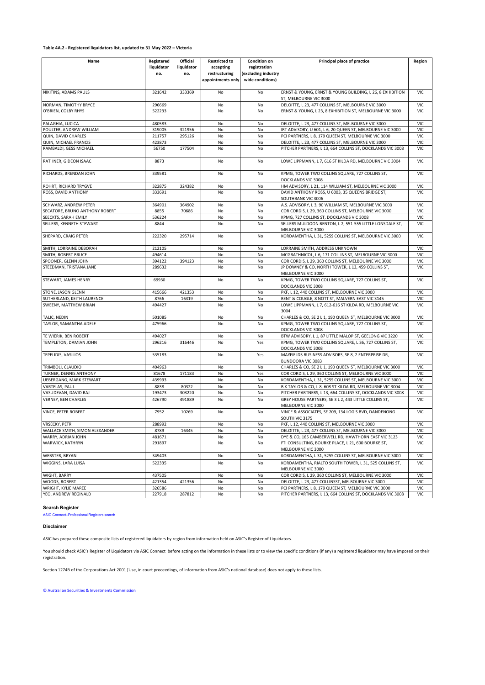## **Table 4A.2 - Registered liquidators list, updated to 31 May 2022 – Victoria**

| Name                           | Registered<br>liquidator<br>no. | Official<br>liquidator<br>no. | <b>Restricted to</b><br>accepting<br>restructuring<br>appointments only | <b>Condition on</b><br>registration<br>(excluding industry<br>wide conditions) | Principal place of practice                                                         | Region     |
|--------------------------------|---------------------------------|-------------------------------|-------------------------------------------------------------------------|--------------------------------------------------------------------------------|-------------------------------------------------------------------------------------|------------|
| NIKITINS, ADAMS PAULS          | 321642                          | 333369                        | No                                                                      | No                                                                             | ERNST & YOUNG, ERNST & YOUNG BUILDING, L 26, 8 EXHIBITION<br>ST, MELBOURNE VIC 3000 | <b>VIC</b> |
| NORMAN, TIMOTHY BRYCE          | 296669                          |                               | No                                                                      | No                                                                             | DELOITTE, L 23, 477 COLLINS ST, MELBOURNE VIC 3000                                  | VIC        |
| O'BRIEN, COLBY RHYS            | 522233                          |                               | No                                                                      | No                                                                             | ERNST & YOUNG, L 23, 8 EXHIBITION ST, MELBOURNE VIC 3000                            | VIC        |
| PALAGHIA, LUCICA               | 480583                          |                               | No                                                                      | No                                                                             | DELOITTE, L 23, 477 COLLINS ST, MELBOURNE VIC 3000                                  | <b>VIC</b> |
| POULTER, ANDREW WILLIAM        | 319005                          | 321956                        | No                                                                      | No                                                                             | IRT ADVISORY, U 601, L 6, 20 QUEEN ST, MELBOURNE VIC 3000                           | VIC        |
| QUIN, DAVID CHARLES            | 211757                          | 295126                        | No                                                                      | No                                                                             | PCI PARTNERS, L 8, 179 QUEEN ST, MELBOURNE VIC 3000                                 | VIC        |
| QUIN, MICHAEL FRANCIS          | 423873                          |                               | No                                                                      | No                                                                             | DELOITTE, L 23, 477 COLLINS ST, MELBOURNE VIC 3000                                  | VIC        |
| RAMBALDI, GESS MICHAEL         | 56750                           | 177504                        | No                                                                      | No                                                                             | PITCHER PARTNERS, L 13, 664 COLLINS ST, DOCKLANDS VIC 3008                          | VIC        |
| RATHNER, GIDEON ISAAC          | 8873                            |                               | No                                                                      | No                                                                             | LOWE LIPPMANN, L 7, 616 ST KILDA RD, MELBOURNE VIC 3004                             | <b>VIC</b> |
| RICHARDS, BRENDAN JOHN         | 339581                          |                               | No                                                                      | No                                                                             | KPMG, TOWER TWO COLLINS SQUARE, 727 COLLINS ST,<br>DOCKLANDS VIC 3008               | <b>VIC</b> |
| ROHRT, RICHARD TRYGVE          | 322875                          | 324382                        | No                                                                      | No                                                                             | HM ADVISORY, L 21, 114 WILLIAM ST, MELBOURNE VIC 3000                               | VIC        |
| ROSS, DAVID ANTHONY            | 333691                          |                               | No                                                                      | No                                                                             | DAVID ANTHONY ROSS, U 6003, 35 QUEENS BRIDGE ST,<br>SOUTHBANK VIC 3006              | VIC        |
| SCHWARZ, ANDREW PETER          | 364901                          | 364902                        | No                                                                      | No                                                                             | A.S. ADVISORY, L 3, 90 WILLIAM ST, MELBOURNE VIC 3000                               | <b>VIC</b> |
| SECATORE, BRUNO ANTHONY ROBERT | 8855                            | 70686                         | No                                                                      | No                                                                             | COR CORDIS, L 29, 360 COLLINS ST, MELBOURNE VIC 3000                                | VIC        |
| SEECKTS, SARAH EMILY           | 536224                          |                               | No                                                                      | No                                                                             | KPMG, 727 COLLINS ST, DOCKLANDS VIC 3008                                            | <b>VIC</b> |
| SELLERS, KENNETH STEWART       | 8844                            |                               | No                                                                      | No                                                                             | SELLERS MULDOON BENTON, L 2, 551-555 LITTLE LONSDALE ST,<br>MELBOURNE VIC 3000      | <b>VIC</b> |
| SHEPARD, CRAIG PETER           | 222320                          | 295714                        | No                                                                      | No                                                                             | KORDAMENTHA, L 31, 525S COLLINS ST, MELBOURNE VIC 3000                              | <b>VIC</b> |
| SMITH, LORRAINE DEBORAH        | 212105                          |                               | No                                                                      | No                                                                             | LORRAINE SMITH, ADDRESS UNKNOWN                                                     | VIC        |
| SMITH, ROBERT BRUCE            | 494614                          |                               | No                                                                      | No                                                                             | MCGRATHNICOL, L 6, 171 COLLINS ST, MELBOURNE VIC 3000                               | VIC        |
| SPOONER, GLENN JOHN            | 394122                          | 394123                        | No                                                                      | No                                                                             | COR CORDIS, L 29, 360 COLLINS ST, MELBOURNE VIC 3000                                | VIC        |
| STEEDMAN, TRISTANA JANE        | 289632                          |                               | No                                                                      | No                                                                             | JP DOWNEY & CO, NORTH TOWER, L 13, 459 COLLINS ST,<br>MELBOURNE VIC 3000            | VIC        |
| STEWART, JAMES HENRY           | 69930                           |                               | No                                                                      | No                                                                             | KPMG, TOWER TWO COLLINS SQUARE, 727 COLLINS ST,<br>DOCKLANDS VIC 3008               | <b>VIC</b> |
| STONE, JASON GLENN             | 415666                          | 421353                        | No                                                                      | No                                                                             | PKF, L 12, 440 COLLINS ST, MELBOURNE VIC 3000                                       | VIC        |
| SUTHERLAND, KEITH LAURENCE     | 8766                            | 16319                         | No                                                                      | No                                                                             | BENT & COUGLE, 8 NOTT ST, MALVERN EAST VIC 3145                                     | VIC        |
| SWEENY, MATTHEW BRIAN          | 494427                          |                               | No                                                                      | No                                                                             | LOWE LIPPMANN, L 7, 612-616 ST KILDA RD, MELBOURNE VIC<br>3004                      | VIC        |
| TALIC, NEDIN                   | 501085                          |                               | No                                                                      | No                                                                             | CHARLES & CO, SE 2 L 1, 190 QUEEN ST, MELBOURNE VIC 3000                            | VIC        |
| TAYLOR, SAMANTHA ADELE         | 475966                          |                               | No                                                                      | No                                                                             | KPMG, TOWER TWO COLLINS SQUARE, 727 COLLINS ST,<br>DOCKLANDS VIC 3008               | VIC        |
| TE WIERIK, BEN ROBERT          | 494027                          |                               | No                                                                      | No                                                                             | BTW ADVISORY, L 1, 87 LITTLE MALOP ST, GEELONG VIC 3220                             | VIC        |
| TEMPLETON, DAMIAN JOHN         | 296216                          | 316446                        | No                                                                      | Yes                                                                            | KPMG, TOWER TWO COLLINS SQUARE, L 36, 727 COLLINS ST,<br>DOCKLANDS VIC 3008         | <b>VIC</b> |
| TEPELIDIS, VASILIOS            | 535183                          |                               | No                                                                      | Yes                                                                            | MAYFIELDS BUSINESS ADVISORS, SE 8, 2 ENTERPRISE DR,<br>BUNDOORA VIC 3083            | VIC        |
| TRIMBOLI, CLAUDIO              | 404963                          |                               | No                                                                      | No                                                                             | CHARLES & CO, SE 2 L 1, 190 QUEEN ST, MELBOURNE VIC 3000                            | <b>VIC</b> |
| TURNER, DENNIS ANTHONY         | 81678                           | 171183                        | No                                                                      | Yes                                                                            | COR CORDIS, L 29, 360 COLLINS ST, MELBOURNE VIC 3000                                | <b>VIC</b> |
| <b>UEBERGANG, MARK STEWART</b> | 439993                          |                               | No                                                                      | No                                                                             | KORDAMENTHA, L 31, 525S COLLINS ST, MELBOURNE VIC 3000                              | <b>VIC</b> |
| VARTELAS, PAUL                 | 8838                            | 80322                         | No                                                                      | No                                                                             | B K TAYLOR & CO, L 8, 608 ST KILDA RD, MELBOURNE VIC 3004                           | VIC        |
| VASUDEVAN, DAVID RAJ           | 193473                          | 303220                        | No                                                                      | No                                                                             | PITCHER PARTNERS, L 13, 664 COLLINS ST, DOCKLANDS VIC 3008                          | VIC        |
| VERNEY, BEN CHARLES            | 426790                          | 491889                        | No                                                                      | No                                                                             | GREY HOUSE PARTNERS, SE 3 L 2, 443 LITTLE COLLINS ST,<br>MELBOURNE VIC 3000         | VIC        |
| VINCE, PETER ROBERT            | 7952                            | 10269                         | No                                                                      | No                                                                             | VINCE & ASSOCIATES, SE 209, 134 LOGIS BVD, DANDENONG<br>SOUTH VIC 3175              | <b>VIC</b> |
| <b>VRSECKY, PETR</b>           | 288992                          |                               | No                                                                      | No                                                                             | PKF, L 12, 440 COLLINS ST, MELBOURNE VIC 3000                                       | VIC        |
| WALLACE SMITH, SIMON ALEXANDER | 8789                            | 16345                         | No                                                                      | No                                                                             | DELOITTE, L 23, 477 COLLINS ST, MELBOURNE VIC 3000                                  | VIC        |
| WARRY, ADRIAN JOHN             | 481671                          |                               | No                                                                      | No                                                                             | DYE & CO, 165 CAMBERWELL RD, HAWTHORN EAST VIC 3123                                 | VIC        |
| WARWICK, KATHRYN               | 291897                          |                               | No                                                                      | No                                                                             | FTI CONSULTING, BOURKE PLACE, L 21, 600 BOURKE ST,<br>MELBOURNE VIC 3000            | <b>VIC</b> |
| <b>WEBSTER, BRYAN</b>          | 349403                          |                               | No                                                                      | No                                                                             | KORDAMENTHA, L 31, 525S COLLINS ST, MELBOURNE VIC 3000                              | <b>VIC</b> |
| WIGGINS, LARA LUISA            | 522335                          |                               | No                                                                      | No                                                                             | KORDAMENTHA, RIALTO SOUTH TOWER, L 31, 525 COLLINS ST,<br>MELBOURNE VIC 3000        | VIC        |
| WIGHT, BARRY                   | 437505                          |                               | No                                                                      | No                                                                             | COR CORDIS, L 29, 360 COLLINS ST, MELBOURNE VIC 3000                                | VIC        |
| WOODS, ROBERT                  | 421354                          | 421356                        | No                                                                      | No                                                                             | DELOITTE, L 23, 477 COLLINSST, MELBOURNE VIC 3000                                   | VIC        |
| WRIGHT, KYLIE MAREE            | 326586                          |                               | No                                                                      | No                                                                             | PCI PARTNERS, L 8, 179 QUEEN ST, MELBOURNE VIC 3000                                 | VIC        |
| YEO, ANDREW REGINALD           | 227918                          | 287812                        | No                                                                      | No                                                                             | PITCHER PARTNERS, L 13, 664 COLLINS ST, DOCKLANDS VIC 3008                          | VIC        |

#### **Search Register**

[ASIC Connect–Professional Registers search](https://connectonline.asic.gov.au/RegistrySearch/faces/landing/ProfessionalRegisters.jspx?_adf.ctrl-state=9r4wadt8a_46)

#### **Disclaimer**

ASIC has prepared these composite lists of registered liquidators by region from information held on ASIC's Register of Liquidators.

You should check ASIC's Register of Liquidators via ASIC Connect before acting on the information in these lists or to view the specific conditions (if any) a registered liquidator may have imposed on their registration.

Section 1274B of the Corporations Act 2001 [Use, in court proceedings, of information from ASIC's national database] does not apply to these lists.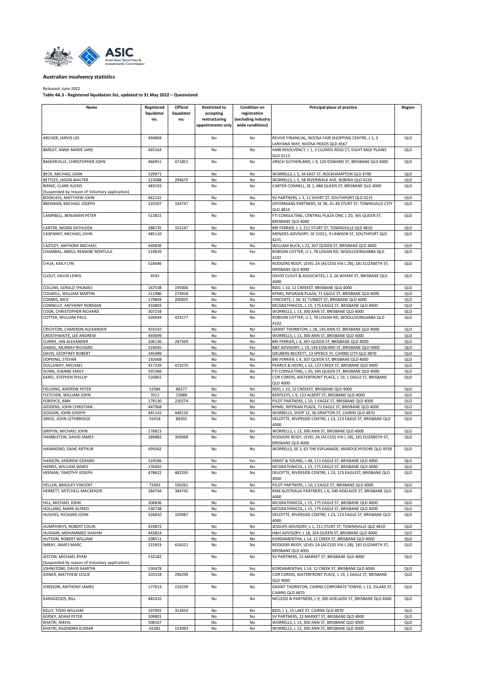<span id="page-9-0"></span>

Released: June 2022 **Table 4A.3 - Registered liquidators list, updated to 31 May 2022 – Queensland**

| Name                                           | Registered       | Official   | <b>Restricted to</b> | <b>Condition on</b> | Principal place of practice                                                                                       | Region            |
|------------------------------------------------|------------------|------------|----------------------|---------------------|-------------------------------------------------------------------------------------------------------------------|-------------------|
|                                                | liquidator       | liquidator | accepting            | registration        |                                                                                                                   |                   |
|                                                | no.              | no.        | restructuring        | (excluding industry |                                                                                                                   |                   |
|                                                |                  |            | appointments only    | wide conditions)    |                                                                                                                   |                   |
|                                                |                  |            |                      |                     |                                                                                                                   |                   |
| ARCHER, JARVIS LEE                             | 494804           |            | No                   | No                  | REVIVE FINANCIAL, NOOSA FAIR SHOPPING CENTRE, L 1, 3                                                              | QLD               |
|                                                |                  |            |                      |                     | ANYANA WAY, NOOSA HEADS QLD 4567                                                                                  |                   |
| BARLEY, ANNE-MARIE JANE                        | 465164           |            | No                   | No                  | AMB INSOLVENCY, L 1, 3 CLUNIES ROSS CT, EIGHT MILE PLAINS<br>QLD 4113                                             | QLD               |
| BASKERVILLE, CHRISTOPHER JOHN                  | 466951           | 471851     | No                   | No                  | JIRSCH SUTHERLAND, L 9, 120 EDWARD ST, BRISBANE QLD 4000                                                          | QLD               |
|                                                |                  |            |                      |                     |                                                                                                                   |                   |
| BECK, MICHAEL JOHN                             | 529971           |            | No                   | No                  | WORRELLS, L 5, 34 EAST ST, ROCKHAMPTON QLD 4700                                                                   | QLD               |
| BETTLES, JASON WALTER                          | 223088           | 294675     | No                   | No                  | WORRELLS, L 5, 58 RIVERWALK AVE, ROBINA QLD 4226                                                                  | QLD               |
| BIRNIE, CLARE ALEXIS                           | 483193           |            | No                   | No                  | CARTER CONNELL, SE 1, 488 QUEEN ST, BRISBANE QLD 4000                                                             | QLD               |
| (Suspended by reason of Voluntary application) |                  |            |                      |                     |                                                                                                                   |                   |
| BOOKLESS, MATTHEW JOHN                         | 462141           |            | No                   | No                  | SV PARTNERS, L 3, 12 SHORT ST, SOUTHPORT QLD 4215                                                                 | QLD               |
| BRENNAN, MICHAEL JOSEPH                        | 325507           | 334747     | No                   | No                  | OFFERMANS PARTNERS, SE 3B, 41-49 STURT ST, TOWNSVILLE CITY<br><b>QLD 4810</b>                                     | QLD               |
| CAMPBELL, BENJAMIN PETER                       | 513815           |            | No                   | No                  | FTI CONSULTING, CENTRAL PLAZA ONE, L 20, 345 QUEEN ST,<br>BRISBANE QLD 4000                                       | QLD               |
| CARTER, MOIRA KATHLEEN                         | 288735           | 315147     | No                   | No                  | BRI FERRIER, L 1, 211 STURT ST, TOWNSVILLE QLD 4810                                                               | QLD               |
| CASPANEY, MICHAEL JOHN                         | 485110           |            | No                   | No                  | MENZIES ADVISORY, SE 31011, 9 LAWSON ST, SOUTHPORT QLD                                                            | QLD               |
|                                                |                  |            |                      |                     | 4215                                                                                                              |                   |
| CASTLEY, ANTHONY MICHAEL                       | 449836           |            | No                   | No                  | WILLIAM BUCK, L 22, 307 QUEEN ST, BRISBANE QLD 4000                                                               | QLD               |
| CHAMBAL, ABDUL REMANE REMTULA                  | 519839           |            | No                   | Yes                 | ROBSON COTTER, U 1, 78 LOGAN RD, WOOLLOONGABBA QLD                                                                | QLD               |
|                                                |                  |            |                      |                     | 4102                                                                                                              |                   |
| CHUA, KAILY LYN                                | 518446           |            | No                   | Yes                 | RODGERS REIDY, LEVEL 2A (ACCESS VIA L 2B), 181 ELIZABETH ST,<br>BRISBANE QLD 4000                                 | QLD               |
| CLOUT, DAVID LEWIS                             | 4592             |            | No                   | No                  | DAVID CLOUT & ASSOCIATES, L 3, 26 WHARF ST, BRISBANE QLD                                                          | QLD               |
|                                                |                  |            |                      |                     | 4000                                                                                                              |                   |
| COLLINS, GERALD THOMAS                         | 167538           | 195006     | No                   | No                  | BDO, L 10, 12 CREEKST, BRISBANE QLD 4000                                                                          | QLD               |
| COLWELL, WILLIAM MARTIN                        | 211986           | 274918     | No                   | No                  | KPMG, RIPARIAN PLAZA, 71 EAGLE ST, BRISBANE QLD 4000                                                              | QLD               |
| COMBIS, NICK                                   | 179844           | 200825     | No                   | No                  | VINCENTS, L 34, 32 TURBOT ST, BRISBANE QLD 4000                                                                   | QLD               |
| CONNELLY, ANTHONY NORMAN                       | 410893           |            | No                   | No                  | MCGRATHNICOL, L 15, 175 EAGLE ST, BRISBANE QLD 4000                                                               | QLD               |
| COOK, CHRISTOPHER RICHARD                      | 307258           |            | No                   | No                  | WORRELLS, L 13, 300 ANN ST, BRISBANE QLD 4000                                                                     | QLD               |
| COTTER, WILLIAM PAUL                           | 426644           | 429177     | No                   | No                  | ROBSON COTTER, U 1, 78 LOGAN RD, WOOLLOONGABBA QLD                                                                | QLD               |
|                                                |                  |            |                      |                     | 4102                                                                                                              |                   |
| CRICHTON, CAMERON ALEXANDER                    | 455542           |            | No                   | No                  | GRANT THORNTON, L 18, 145 ANN ST, BRISBANE QLD 4000                                                               | QLD               |
| CROSTHWAITE, LEE ANDREW                        | 493699           |            | No                   | No                  | WORRELLS, L 13, 300 ANN ST, BRISBANE QLD 4000                                                                     | QLD               |
| CURRIE, IAN ALEXANDER                          | 206136           | 287569     | No                   | No                  | BRI FERRIER, L 4, 307 QUEEN ST, BRISBANE QLD 4000                                                                 | QLD               |
| DANIEL, MURRAY RICHARD                         | 524045           |            | No                   | Yes                 | B&T ADVISORY, L 19, 144 EDWARD ST, BRISBANE QLD 4000                                                              | QLD               |
| DAVIS, GEOFFREY ROBERT                         | 345489           |            | No                   | No                  | GRUBERS BECKETT, 13 SPENCE ST, CAIRNS CITY QLD 4870                                                               | QLD               |
| DOPKING, STEFAN                                | 192668           |            | No                   | No                  | BRI FERRIER, L 4, 307 QUEEN ST, BRISBANE QLD 4000                                                                 | QLD               |
| DULLAWAY, MICHAEL                              | 417339           | 419270     | No                   | No                  | PEARCE & HEERS, L 12, 127 CREEK ST, BRISBANE QLD 4000                                                             | QLD               |
| DUNN, JOANNE EMILY                             | 335366           |            | No                   | No                  | FTI CONSULTING, L 20, 345 QUEEN ST, BRISBANE QLD 4000                                                             | QLD               |
| EAREL, STEPHEN PHILLIP                         | 526801           |            | No                   | No                  | COR CORDIS, WATERFRONT PLACE, L 19, 1 EAGLE ST, BRISBANE                                                          | QLD               |
|                                                |                  |            |                      |                     | QLD 4000                                                                                                          |                   |
| FIELDING, ANDREW PETER                         | 52586            | 88277      | No                   | No                  | BDO, L 10, 12 CREEKST, BRISBANE QLD 4000                                                                          | QLD               |
| FLETCHER, WILLIAM JOHN                         | 7012             | 15088      | No                   | No                  | BENTLEYS, L 9, 123 ALBERT ST, BRISBANE QLD 4000                                                                   | QLD               |
| FORDYCE, ANN                                   | 178130           | 230274     | No                   | No                  | PILOT PARTNERS, L 10, 1 EAGLE ST, BRISBANE QLD 4000                                                               | QLD               |
| GIDDENS, JOHN CHRISTIAN                        | 447968           |            | No                   | No                  | KPMG, RIPERIAN PLAZA, 71 EAGLE ST, BRISBANE QLD 4000                                                              | QLD               |
| GOGGIN, JOHN JOSEPH                            | 441142           | 448126     | No                   | No                  | WORRELLS, SHOP 12, 36 GRAFTON ST, CAIRNS QLD 4870                                                                 | QLD               |
| GREIG, JOHN LETHBRIDGE                         | 55418            | 88302      | No                   | No                  | DELOITTE, RIVERSIDE CENTRE, L 23, 123 EAGLE ST, BRISBANE QLD                                                      | QLD               |
|                                                |                  |            |                      |                     | 4000                                                                                                              |                   |
| GRIFFIN, MICHAEL JOHN                          | 176823           |            | No                   | No                  | WORRELLS, L 13, 300 ANN ST, BRISBANE QLD 4000                                                                     | QLD               |
| HAMBLETON, DAVID JAMES                         | 289882           | 309068     | No                   | No                  | RODGERS REIDY, LEVEL 2A (ACCESS VIA L 2B), 181 ELIZABETH ST,<br>BRISBANE QLD 4000                                 | QLD               |
| HAMMOND, DANE ARTHUR                           | 495042           |            | No                   | No                  | WORRELLS, SE 2, 63 THE ESPLANADE, MAROOCHYDORE QLD 4558                                                           | QLD               |
|                                                |                  |            |                      |                     |                                                                                                                   |                   |
| HANSON, ANDREW GERARD                          | 524586           |            | No                   | Yes                 | ERNST & YOUNG, L 48, 111 EAGLE ST, BRISBANE QLD 4000                                                              | QLD               |
| HARRIS, WILLIAM JAMES                          | 276402           |            | No                   | No                  | MCGRATHNICOL, L 15, 175 EAGLE ST, BRISBANE QLD 4000                                                               | QLD               |
| HEENAN, TIMOTHY JOSEPH                         | 478622           | 482295     | No                   | No                  | DELOITTE, RIVERSIDE CENTRE, L 23, 123 EAGLEST, BRISBANE QLD                                                       | QLD               |
|                                                |                  |            |                      |                     | 4000                                                                                                              |                   |
| HELLEN, BRADLEY VINCENT                        | 72493            | 156261     | No                   | No                  | PILOT PARTNERS, L 10, 1 EAGLE ST, BRISBANE QLD 4000                                                               | QLD               |
| HERRETT, MITCHELL MACKENZIE                    | 384744           | 384745     | No                   | No                  | RSM AUSTRALIA PARTNERS, L 6, 340 ADELAIDE ST, BRISBANE QLD                                                        | QLD               |
|                                                |                  |            |                      |                     | 4000                                                                                                              |                   |
| HILL, MICHAEL JOHN                             | 206836           |            | No                   | No                  | MCGRATHNICOL, L 15, 175 EAGLE ST, BRISBANE QLD 4000                                                               | QLD               |
| HOLLAND, MARK ALFRED                           | 530738           |            | No                   | No                  | MCGRATHNICOL, L 15, 175 EAGLE ST, BRISBANE QLD 4000                                                               | QLD               |
| HUGHES, RICHARD JOHN                           | 326810           | 329087     | No                   | No                  | DELOITTE, RIVERSIDE CENTRE, L 23, 123 EAGLE ST, BRISBANE QLD                                                      | QLD               |
|                                                |                  |            |                      |                     | 4000                                                                                                              |                   |
| HUMPHREYS, ROBERT COLIN                        | 419872<br>443814 |            | No<br>No             | No<br>No            | JESSUPS ADVISORY, L 1, 211 STURT ST, TOWNSVILLE QLD 4810                                                          | QLD<br><b>QLD</b> |
| HUSSAIN, MOHAMMED SHAHIN                       |                  |            | No                   | No                  | H&H ADVISORY, L 18, 324 QUEEN ST, BRISBANE QLD 4000                                                               |                   |
| HUTSON, ROBERT WILLIAM<br>IMRAY, JAMES MARC    | 208511<br>215933 | 416521     | No                   | No                  | KORDAMENTHA, L 14, 12 CREEK ST, BRISBANE QLD 4000<br>RODGERS REIDY, LEVEL 2A (ACCESS VIA L 2B), 181 ELIZABETH ST, | QLD<br>QLD        |
|                                                |                  |            |                      |                     | BRISBANE QLD 4001                                                                                                 |                   |
| JESTON, MICHAEL RYAN                           | 532182           |            | No                   | No                  | SV PARTNERS, 22 MARKET ST, BRISBANE QLD 4000                                                                      | QLD               |
| (Suspended by reason of Voluntary application) |                  |            |                      |                     |                                                                                                                   |                   |
| JOHNSTONE, DAVID MARTIN                        | 530478           |            | No                   | Yes                 | KORDAMENTHA, L 14, 12 CREEK ST, BRISBANE QLD 4000                                                                 | QLD               |
| JOINER, MATTHEW LESLIE                         | 203318           | 296299     | No                   | No                  | COR CORDIS, WATERFRONT PLACE, L 19, 1 EAGLE ST, BRISBANE                                                          | QLD               |
|                                                |                  |            |                      |                     | QLD 4000                                                                                                          |                   |
| JONSSON, ANTHONY JAMES                         | 177613           | 226239     | No                   | No                  | GRANT THORNTON, CAIRNS CORPORATE TOWER, L 13, 15LAKE ST,                                                          | QLD               |
|                                                |                  |            |                      |                     | CAIRNS QLD 4870                                                                                                   |                   |
| KARAGEOZIS, BILL                               | 482410           |            | <b>No</b>            | No                  | MCLEOD & PARTNERS, L 9, 300 ADELAIDE ST, BRISBANE QLD 4000                                                        | QLD               |
|                                                |                  |            |                      |                     |                                                                                                                   |                   |
| KELLY, TODD WILLIAM                            | 197992           | 313810     | No                   | No                  | BDO, L 1, 15 LAKE ST, CAIRNS QLD 4870                                                                             | QLD               |
| KERSEY, ADAM PETER                             | 509801           |            | No                   | No                  | SV PARTNERS, 22 MARKET ST, BRISBANE QLD 4000                                                                      | QLD               |
| KHATRI, NIKHIL                                 | 508167           |            | No                   | No                  | WORRELLS, L 13, 300 ANN ST, BRISBANE QLD 4000                                                                     | QLD               |
| KHATRI, RAJENDRA KUMAR                         | 65281            | 153093     | No                   | No                  | WORRELLS, L 13, 300 ANN ST, BRISBANE QLD 4000                                                                     | QLD               |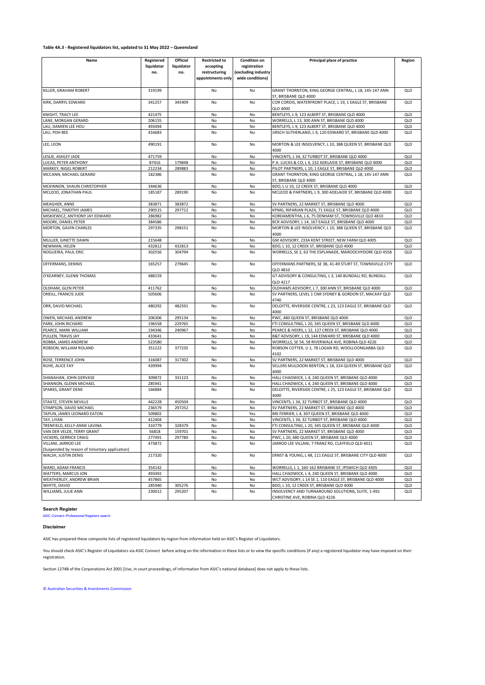## **Table 4A.3 - Registered liquidators list, updated to 31 May 2022 – Queensland**

| Name                                                                  | Registered<br>liquidator<br>no. | Official<br>liquidator<br>no. | <b>Restricted to</b><br>accepting<br>restructuring | <b>Condition on</b><br>registration<br>(excluding industry | Principal place of practice                                                                                         | Region     |
|-----------------------------------------------------------------------|---------------------------------|-------------------------------|----------------------------------------------------|------------------------------------------------------------|---------------------------------------------------------------------------------------------------------------------|------------|
|                                                                       |                                 |                               | appointments only                                  | wide conditions)                                           |                                                                                                                     |            |
| KILLER, GRAHAM ROBERT                                                 | 319199                          |                               | No                                                 | No                                                         | GRANT THORNTON, KING GEORGE CENTRAL, L 18, 145-147 ANN<br>ST, BRISBANE QLD 4000                                     | QLD        |
| KIRK, DARRYL EDWARD                                                   | 341257                          | 345409                        | No                                                 | No                                                         | COR CORDIS, WATERFRONT PLACE, L 19, 1 EAGLE ST, BRISBANE<br><b>QLD 4000</b>                                         | QLD        |
| KNIGHT, TRACY LEE                                                     | 421475                          |                               | No                                                 | No                                                         | BENTLEYS, L 9, 123 ALBERT ST, BRISBANE QLD 4000                                                                     | QLD        |
| LANE, MORGAN GERARD                                                   | 206155                          |                               | No                                                 | No                                                         | WORRELLS, L 13, 300 ANN ST, BRISBANE QLD 4000                                                                       | QLD        |
| LAU, DAMIEN LEE HOU                                                   | 493494                          |                               | No                                                 | No                                                         | BENTLEYS, L 9, 123 ALBERT ST, BRISBANE QLD 4000                                                                     | QLD        |
| LAU, POH BEE                                                          | 416683                          |                               | No                                                 | No                                                         | JIRSCH SUTHERLAND, L 9, 120 EDWARD ST, BRISBANE QLD 4000                                                            | QLD        |
| LEE, LEON                                                             | 490191                          |                               | No                                                 | No                                                         | MORTON & LEE INSOLVENCY, L 10, 388 QUEEN ST, BRISBANE QLD<br>4000                                                   | QLD        |
| LESLIE, ASHLEY JADE                                                   | 471759                          |                               | No                                                 | No                                                         | VINCENTS, L 34, 32 TURBOT ST, BRISBANE QLD 4000                                                                     | QLD        |
| LUCAS, PETER ANTHONY                                                  | 87416                           | 179848                        | No                                                 | No                                                         | P.A. LUCAS & CO, L 4, 232 ADELAIDE ST, BRISBANE QLD 4000                                                            | QLD        |
| MARKEY, NIGEL ROBERT<br>MCCANN, MICHAEL GERARD                        | 212234<br>182386                | 289883                        | No<br>No                                           | No<br>No                                                   | PILOT PARTNERS, L 10, 1 EAGLE ST, BRISBANE QLD 4000<br>GRANT THORNTON, KING GEORGE CENTRAL, L 18, 145-147 ANN       | QLD<br>QLD |
|                                                                       |                                 |                               |                                                    |                                                            | ST, BRISBANE QLD 4000                                                                                               |            |
| MCKINNON, SHAUN CHRISTOPHER                                           | 344636                          |                               | No                                                 | No                                                         | BDO, L U 10, 12 CREEK ST, BRISBANE QLD 4000                                                                         | QLD        |
| MCLEOD, JONATHAN PAUL                                                 | 185187                          | 289190                        | No                                                 | No                                                         | MCLEOD & PARTNERS, L 9, 300 ADELAIDE ST, BRISBANE QLD 4000                                                          | QLD        |
| MEAGHER, ANNE                                                         | 383871                          | 383872                        | No                                                 | No                                                         | SV PARTNERS, 22 MARKET ST, BRISBANE QLD 4000                                                                        | QLD        |
| MICHAEL, TIMOTHY JAMES                                                | 290515                          | 297712                        | No                                                 | No                                                         | KPMG, RIPARIAN PLAZA, 71 EAGLE ST, BRISBANE QLD 4000                                                                | QLD        |
| MISKIEWICZ, ANTHONY JAY EDWARD                                        | 286982                          |                               | No                                                 | No                                                         | KORDAMENTHA, L 6, 75 DENHAM ST, TOWNSVILLE QLD 4810                                                                 | QLD        |
| MOORE, DANIEL PETER<br>MORTON, GAVIN CHARLES                          | 384586<br>297335                | 298151                        | No<br>No                                           | No<br>No                                                   | BCR ADVISORY, L 14, 167 EAGLE ST, BRISBANE QLD 4000<br>MORTON & LEE INSOLVENCY, L 10, 388 QUEEN ST, BRISBANE QLD    | QLD<br>QLD |
| MULLER, GINETTE DAWN                                                  | 215648                          |                               | No                                                 | No                                                         | 4000<br>GM ADVISORY, 233A KENT STREET, NEW FARM QLD 4005                                                            | QLD        |
| NEWMAN, HELEN                                                         | 432812                          | 432813                        | No                                                 | No                                                         | BDO, L 10, 12 CREEK ST, BRISBANE QLD 4000                                                                           | QLD        |
| NOGUEIRA, PAUL ERIC                                                   | 302556                          | 304794                        | No                                                 | No                                                         | WORRELLS, SE 2, 63 THE ESPLANADE, MAROOCHYDORE QLD 4558                                                             | QLD        |
| OFFERMANS, DENNIS                                                     | 165257                          | 279645                        | No                                                 | No                                                         | OFFERMANS PARTNERS, SE 3B, 41-49 STURT ST, TOWNSVILLE CITY<br><b>QLD 4810</b>                                       | QLD        |
| O'KEARNEY, GLENN THOMAS                                               | 488159                          |                               | No                                                 | No                                                         | GT ADVISORY & CONSULTING, L 3, 140 BUNDALL RD, BUNDALL<br><b>QLD 4217</b>                                           | QLD        |
| OLDHAM, GLEN PETER                                                    | 411762                          |                               | No                                                 | No                                                         | OLDHAMS ADVISORY, L 7, 300 ANN ST, BRISBANE QLD 4000                                                                | QLD        |
| ONEILL, FRANCIS JUDE                                                  | 505606                          |                               | No                                                 | No                                                         | SV PARTNERS, LEVEL 1 CNR SYDNEY & GORDON ST, MACKAY QLD<br>4740                                                     | QLD        |
| ORR, DAVID MICHAEL                                                    | 480292                          | 482591                        | No                                                 | No                                                         | DELOITTE, RIVERSIDE CENTRE, L 23, 123 EAGLE ST, BRISBANE QLD<br>4000                                                | QLD        |
| OWEN, MICHAEL ANDREW                                                  | 206306                          | 295134                        | No                                                 | No                                                         | PWC, 480 QUEEN ST, BRISBANE QLD 4000                                                                                | QLD        |
| PARK, JOHN RICHARD                                                    | 196558                          | 229765                        | No                                                 | No                                                         | FTI CONSULTING, L 20, 345 QUEEN ST, BRISBANE QLD 4000                                                               | QLD        |
| PEARCE, MARK WILLIAM                                                  | 194346                          | 240967                        | No                                                 | No                                                         | PEARCE & HEERS, L 12, 127 CREEK ST, BRISBANE QLD 4000                                                               | QLD        |
| PULLEN, TRAVIS JAY                                                    | 433641                          |                               | No                                                 | No                                                         | B&T ADVISORY, L 19, 144 EDWARD ST, BRISBANE QLD 4000                                                                | QLD        |
| ROBBA, JAMES ANDREW                                                   | 523580                          |                               | No                                                 | No                                                         | WORRELLS, SE 54, 58 RIVERWALK AVE, ROBINA QLD 4226                                                                  | QLD        |
| ROBSON, WILLIAM ROLAND                                                | 351222                          | 377235                        | No                                                 | No                                                         | ROBSON COTTER, U 1, 78 LOGAN RD, WOOLLOONGABBA QLD<br>4102                                                          | QLD        |
| ROSE, TERRENCE JOHN                                                   | 316087                          | 317302                        | No                                                 | No                                                         | SV PARTNERS, 22 MARKET ST, BRISBANE QLD 4000                                                                        | QLD        |
| RUHE, ALICE FAY                                                       | 439994                          |                               | No                                                 | No                                                         | SELLERS MULDOON BENTON, L 18, 324 QUEEN ST, BRISBANE QLD<br>4000                                                    | QLD        |
| SHANAHAN, JOHN GERVASE                                                | 309872                          | 331123                        | No                                                 | No                                                         | HALL CHADWICK, L 4, 240 QUEEN ST, BRISBANE QLD 4000                                                                 | QLD        |
| SHANNON, GLENN MICHAEL<br>SPARKS, GRANT DENE                          | 285941<br>166884                |                               | No<br>No                                           | No<br>No                                                   | HALL CHADWICK, L 4, 240 QUEEN ST, BRISBANE QLD 4000<br>DELOITTE, RIVERSIDE CENTRE, L 25, 123 EAGLE ST, BRISBANE QLD | QLD<br>QLD |
|                                                                       |                                 |                               |                                                    |                                                            | 4000                                                                                                                |            |
| STAATZ, STEVEN NEVILLE<br>STIMPSON, DAVID MICHAEL                     | 442228<br>236579                | 450504<br>297252              | No<br>No                                           | No<br>No                                                   | VINCENTS, L 34, 32 TURBOT ST, BRISBANE QLD 4000<br>SV PARTNERS, 22 MARKET ST, BRISBANE QLD 4000                     | QLD<br>QLD |
| TAPLIN, JAMES LEONARD EATON                                           | 509802                          |                               | No                                                 | Yes                                                        | BRI FERRIER, L 4, 307 QUEEN ST, BRISBANE QLD 4000                                                                   | QLD        |
| TAY, LIYAN                                                            | 412404                          |                               | No                                                 | No                                                         | VINCENTS, L 34, 32 TURBOT ST, BRISBANE QLD 4000                                                                     | QLD        |
| TRENFIELD, KELLY-ANNE LAVINA                                          | 310779                          | 328379                        | No                                                 | No                                                         | FTI CONSULTING, L 20, 345 QUEEN ST, BRISBANE QLD 4000                                                               | QLD        |
| VAN DER VELDE, TERRY GRANT                                            | 56818                           | 159701                        | No                                                 | No                                                         | SV PARTNERS, 22 MARKET ST, BRISBANE QLD 4000                                                                        | QLD        |
| VICKERS, DERRICK CRAIG                                                | 277491                          | 297780                        | No                                                 | No                                                         | PWC, L 20, 480 QUEEN ST, BRISBANE QLD 4000                                                                          | QLD        |
| VILLANI, JARROD LEE<br>(Suspended by reason of Voluntary application) | 473872                          |                               | No                                                 | No                                                         | JARROD LEE VILLANI, 7 FRANZ RD, CLAYFIELD QLD 4011                                                                  | QLD        |
| WALSH, JUSTIN DENIS                                                   | 217320                          |                               | No                                                 | No                                                         | ERNST & YOUNG. L 48. 111 EAGLE ST. BRISBANE CITY OLD 4000                                                           | QLD        |
| WARD, ADAM FRANCIS                                                    | 354142                          |                               | No                                                 | No                                                         | WORRELLS, L 1, 160-162 BRISBANE ST, IPSWICH QLD 4305                                                                | QLD        |
| WATTERS, MARCUS JON                                                   | 493492                          |                               | No                                                 | No                                                         | HALL CHADWICK, L 4, 240 QUEEN ST, BRISBANE QLD 4000                                                                 | QLD        |
| WEATHERLEY, ANDREW BRIAN                                              | 457865                          |                               | No                                                 | No                                                         | WCT ADVISORY, L 14 SE 1, 110 EAGLE ST, BRISBANE QLD 4000                                                            | QLD        |
| WHYTE, DAVID                                                          | 285940                          | 305276                        | No                                                 | No                                                         | BDO, L 10, 12 CREEK ST, BRISBANE QLD 4000                                                                           | QLD        |
| WILLIAMS, JULIE ANN                                                   | 230012                          | 295207                        | No                                                 | No                                                         | INSOLVENCY AND TURNAROUND SOLUTIONS, SUITE, 1-492<br>CHRISTINE AVE, ROBINA QLD 4226                                 | QLD        |

# **Search Register**

bfessional Registers search

#### **Disclaimer**

ASIC has prepared these composite lists of registered liquidators by region from information held on ASIC's Register of Liquidators.

You should check ASIC's Register of Liquidators via ASIC Connect before acting on the information in these lists or to view the specific conditions (if any) a registered liquidator may have imposed on their registration.

Section 1274B of the Corporations Act 2001 [Use, in court proceedings, of information from ASIC's national database] does not apply to these lists.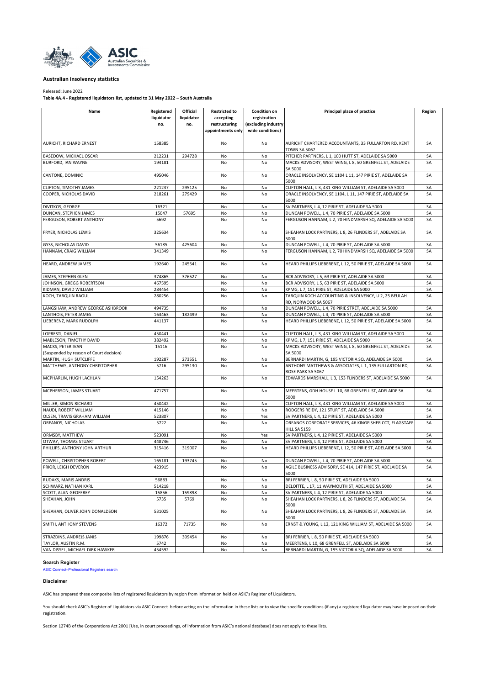<span id="page-11-0"></span>

#### Released: June 2022

**Table 4A.4 - Registered liquidators list, updated to 31 May 2022 – South Australia**

| Name                                                         | Registered<br>liquidator<br>no. | Official<br>liquidator<br>no. | <b>Restricted to</b><br>accepting<br>restructuring<br>appointments only | <b>Condition on</b><br>registration<br>(excluding industry<br>wide conditions) | Principal place of practice                                                                                      | Region   |
|--------------------------------------------------------------|---------------------------------|-------------------------------|-------------------------------------------------------------------------|--------------------------------------------------------------------------------|------------------------------------------------------------------------------------------------------------------|----------|
| AURICHT, RICHARD ERNEST                                      | 158385                          |                               | No                                                                      | No                                                                             | AURICHT CHARTERED ACCOUNTANTS, 33 FULLARTON RD, KENT<br>TOWN SA 5067                                             | SA       |
| BASEDOW, MICHAEL OSCAR                                       | 212231                          | 294728                        | No                                                                      | No                                                                             | PITCHER PARTNERS, L 1, 100 HUTT ST, ADELAIDE SA 5000                                                             | SА       |
| <b>BURFORD, IAN WAYNE</b>                                    | 194181                          |                               | No                                                                      | No                                                                             | MACKS ADVISORY, WEST WING, L 8, 50 GRENFELL ST, ADELAIDE<br>SA 5000                                              | SA       |
| CANTONE, DOMINIC                                             | 495046                          |                               | No                                                                      | No                                                                             | ORACLE INSOLVENCY, SE 1104 L 11, 147 PIRIE ST, ADELAIDE SA<br>5000                                               | SA       |
| CLIFTON, TIMOTHY JAMES                                       | 221237                          | 295125                        | No                                                                      | No                                                                             | CLIFTON HALL, L 3, 431 KING WILLIAM ST, ADELAIDE SA 5000                                                         | SA       |
| COOPER. NICHOLAS DAVID                                       | 218261                          | 279429                        | No                                                                      | No                                                                             | ORACLE INSOLVENCY, SE 1104, L 11, 147 PIRIE ST, ADELAIDE SA<br>5000                                              | SA       |
| DIVITKOS, GEORGE                                             | 16321                           |                               | No                                                                      | No                                                                             | SV PARTNERS, L 4, 12 PIRIE ST, ADELAIDE SA 5000                                                                  | SA       |
| DUNCAN, STEPHEN JAMES                                        | 15047                           | 57695                         | No                                                                      | No                                                                             | DUNCAN POWELL, L 4, 70 PIRIE ST, ADELAIDE SA 5000                                                                | SA       |
| FERGUSON, ROBERT ANTHONY                                     | 5692                            |                               | No                                                                      | No                                                                             | FERGUSON HANNAM, L 2, 70 HINDMARSH SQ, ADELAIDE SA 5000                                                          | SA       |
| FRYER, NICHOLAS LEWIS                                        | 325634                          |                               | No                                                                      | No                                                                             | SHEAHAN LOCK PARTNERS, L 8, 26 FLINDERS ST, ADELAIDE SA<br>5000                                                  | SA       |
| GYSS, NICHOLAS DAVID                                         | 56185                           | 425604                        | No                                                                      | No                                                                             | DUNCAN POWELL, L 4, 70 PIRIE ST, ADELAIDE SA 5000                                                                | SA       |
| HANNAM, CRAIG WILLIAM                                        | 341349                          |                               | No                                                                      | No                                                                             | FERGUSON HANNAM, L 2, 70 HINDMARSH SQ, ADELAIDE SA 5000                                                          | SA       |
| HEARD, ANDREW JAMES                                          | 192640                          | 245541                        | No                                                                      | No                                                                             | HEARD PHILLIPS LIEBERENZ, L 12, 50 PIRIE ST, ADELAIDE SA 5000                                                    | SA       |
| JAMES, STEPHEN GLEN                                          | 374865                          | 376527                        | No                                                                      | No                                                                             | BCR ADVISORY, L 5, 63 PIRIE ST, ADELAIDE SA 5000                                                                 | SA       |
| JOHNSON, GREGG ROBERTSON                                     | 467595                          |                               | No                                                                      | No                                                                             | BCR ADVISORY, L 5, 63 PIRIE ST, ADELAIDE SA 5000                                                                 | SA       |
| KIDMAN, DAVID WILLIAM                                        | 284454                          |                               | No                                                                      | No                                                                             | KPMG, L 7, 151 PIRIE ST, ADELAIDE SA 5000                                                                        | SA       |
| KOCH, TARQUIN RAOUL                                          | 280256                          |                               | No                                                                      | No                                                                             | TARQUIN KOCH ACCOUNTING & INSOLVENCY, U 2, 25 BEULAH<br>RD, NORWOOD SA 5067                                      | SA       |
| LANGSHAW, ANDREW GEORGE ASHBROOK                             | 494735                          |                               | No                                                                      | No                                                                             | DUNCAN POWELL, L 4, 70 PIRIE STRET, ADELAIDE SA 5000                                                             | SA       |
| LANTHOIS, PETER JAMES                                        | 163463                          | 182499                        | No                                                                      | No                                                                             | DUNCAN POWELL, L 4, 70 PIRIE ST, ADELAIDE SA 5000                                                                | SA       |
| LIEBERENZ. MARK RUDOLPH                                      | 441137                          |                               | No                                                                      | No                                                                             | HEARD PHILLIPS LIEBERENZ, L 12, 50 PIRIE ST, ADELAIDE SA 5000                                                    | SA       |
| LOPRESTI, DANIEL                                             | 450441                          |                               | No                                                                      | No                                                                             | CLIFTON HALL, L 3, 431 KING WILLIAM ST, ADELAIDE SA 5000                                                         | SA       |
| MABLESON, TIMOTHY DAVID                                      | 382492                          |                               | No                                                                      | No                                                                             | KPMG, L 7, 151 PIRIE ST, ADELAIDE SA 5000                                                                        | SA       |
| MACKS, PETER IVAN<br>(Suspended by reason of Court decision) | 15116                           |                               | No                                                                      | No                                                                             | MACKS ADVISORY, WEST WING, L 8, 50 GRENFELL ST, ADELAIDE<br>SA 5000                                              | SA       |
| MARTIN, HUGH SUTCLIFFE                                       | 192287                          | 273551                        | No                                                                      | No                                                                             | BERNARDI MARTIN, G, 195 VICTORIA SQ, ADELAIDE SA 5000                                                            | SA       |
| MATTHEWS, ANTHONY CHRISTOPHER                                | 5716                            | 295130                        | No                                                                      | No                                                                             | ANTHONY MATTHEWS & ASSOCIATES, L 1, 135 FULLARTON RD,<br>ROSE PARK SA 5067                                       | SA       |
| MCPHARLIN, HUGH LACHLAN                                      | 154263                          |                               | No                                                                      | No                                                                             | EDWARDS MARSHALL, L 3, 153 FLINDERS ST, ADELAIDE SA 5000                                                         | SA       |
| MCPHERSON, JAMES STUART                                      | 471757                          |                               | No                                                                      | No                                                                             | MEERTENS, GDH HOUSE L 10, 68 GRENFELL ST, ADELAIDE SA<br>5000                                                    | SA       |
| MILLER, SIMON RICHARD                                        | 450442                          |                               | No                                                                      | No                                                                             | CLIFTON HALL, L 3, 431 KING WILLIAM ST, ADELAIDE SA 5000                                                         | SA       |
| NAUDI, ROBERT WILLIAM                                        | 415146                          |                               | No                                                                      | No                                                                             | RODGERS REIDY, 121 STURT ST, ADELAIDE SA 5000                                                                    | SA       |
| OLSEN, TRAVIS GRAHAM WILLIAM                                 | 523807                          |                               | No                                                                      | Yes                                                                            | SV PARTNERS, L 4, 12 PIRIE ST, ADELAIDE SA 5000                                                                  | SA       |
| ORFANOS, NICHOLAS                                            | 5722                            |                               | No                                                                      | No                                                                             | ORFANOS CORPORATE SERVICES, 46 KINGFISHER CCT, FLAGSTAFF<br><b>HILL SA 5159</b>                                  | SA       |
| ORMSBY, MATTHEW                                              | 523091                          |                               | No                                                                      | Yes                                                                            | SV PARTNERS, L 4, 12 PIRIE ST, ADELAIDE SA 5000                                                                  | SA       |
| OTWAY, THOMAS STUART<br>PHILLIPS. ANTHONY JOHN ARTHUR        | 448746<br>315416                | 319007                        | No<br>No                                                                | No<br>No                                                                       | SV PARTNERS, L 4, 12 PIRIE ST, ADELAIDE SA 5000<br>HEARD PHILLIPS LIEBERENZ, L 12, 50 PIRIE ST, ADELAIDE SA 5000 | SA<br>SA |
|                                                              |                                 |                               |                                                                         |                                                                                |                                                                                                                  |          |
| POWELL, CHRISTOPHER ROBERT<br>PRIOR, LEIGH DEVERON           | 165181<br>423915                | 193745                        | No<br>No                                                                | No<br>No                                                                       | DUNCAN POWELL, L 4, 70 PIRIE ST, ADELAIDE SA 5000<br>AGILE BUSINESS ADVISORY, SE 414, 147 PIRIE ST, ADELAIDE SA  | SA<br>SA |
|                                                              |                                 |                               |                                                                         |                                                                                | 5000                                                                                                             |          |
| RUDAKS, MARIS ANDRIS                                         | 56883                           |                               | No                                                                      | No                                                                             | BRI FERRIER, L 8, 50 PIRIE ST, ADELAIDE SA 5000                                                                  | SA       |
| SCHWARZ, NATHAN KARL<br>SCOTT, ALAN GEOFFREY                 | 514218<br>15856                 | 159898                        | No<br>No                                                                | No<br>No                                                                       | DELOITTE, L 17, 11 WAYMOUTH ST, ADELAIDE SA 5000<br>SV PARTNERS, L 4, 12 PIRIE ST, ADELAIDE SA 5000              | SA<br>SA |
| SHEAHAN, JOHN                                                | 5735                            | 5769                          | No                                                                      | No                                                                             | SHEAHAN LOCK PARTNERS, L 8, 26 FLINDERS ST, ADELAIDE SA                                                          | SA       |
| SHEAHAN, OLIVER JOHN DONALDSON                               | 531025                          |                               | No                                                                      | No                                                                             | 5000<br>SHEAHAN LOCK PARTNERS, L 8, 26 FLINDERS ST, ADELAIDE SA                                                  | SA       |
| SMITH, ANTHONY STEVENS                                       | 16372                           | 71735                         | No                                                                      | No                                                                             | 5000<br>ERNST & YOUNG, L 12, 121 KING WILLIAM ST, ADELAIDE SA 5000                                               | SA       |
| STRAZDINS, ANDREJS JANIS                                     | 199876                          | 309454                        | No                                                                      | No                                                                             | BRI FERRIER, L 8, 50 PIRIE ST, ADELAIDE SA 5000                                                                  | SA       |
| TAYLOR, AUSTIN R.M.                                          | 5742                            |                               | No                                                                      | No                                                                             | MEERTENS, L 10, 68 GRENFELL ST, ADELAIDE SA 5000                                                                 | SA       |
| VAN DISSEL, MICHAEL DIRK HAWKER                              | 454592                          |                               | No                                                                      | No                                                                             | BERNARDI MARTIN, G, 195 VICTORIA SQ, ADELAIDE SA 5000                                                            | SA       |

#### **Search Register**

[ASIC Connect–Professional Registers search](https://connectonline.asic.gov.au/RegistrySearch/faces/landing/ProfessionalRegisters.jspx?_adf.ctrl-state=9r4wadt8a_46)

## **Disclaimer**

ASIC has prepared these composite lists of registered liquidators by region from information held on ASIC's Register of Liquidators.

You should check ASIC's Register of Liquidators via ASIC Connect before acting on the information in these lists or to view the specific conditions (if any) a registered liquidator may have imposed on their registration.

Section 1274B of the Corporations Act 2001 [Use, in court proceedings, of information from ASIC's national database] does not apply to these lists.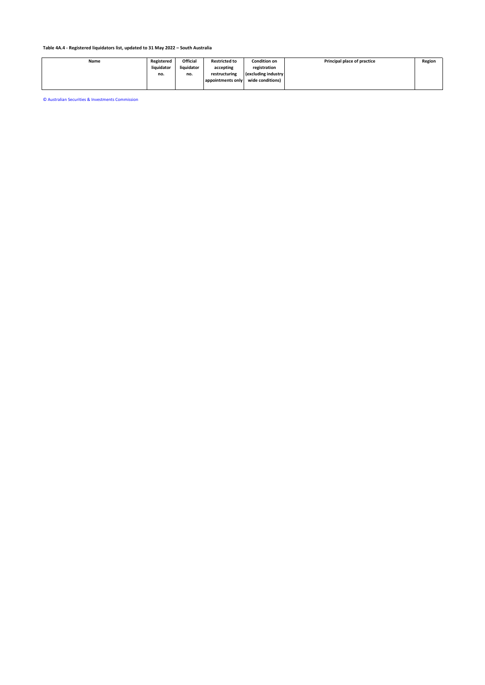| Name | Registered | <b>Official</b> | <b>Restricted to</b> | Condition on         | Principal place of practice | Region |
|------|------------|-----------------|----------------------|----------------------|-----------------------------|--------|
|      | liquidator | liquidator      | accepting            | registration         |                             |        |
|      | no.        | no.             | restructuring        | (excluding industry) |                             |        |
|      |            |                 | appointments only    | wide conditions)     |                             |        |
|      |            |                 |                      |                      |                             |        |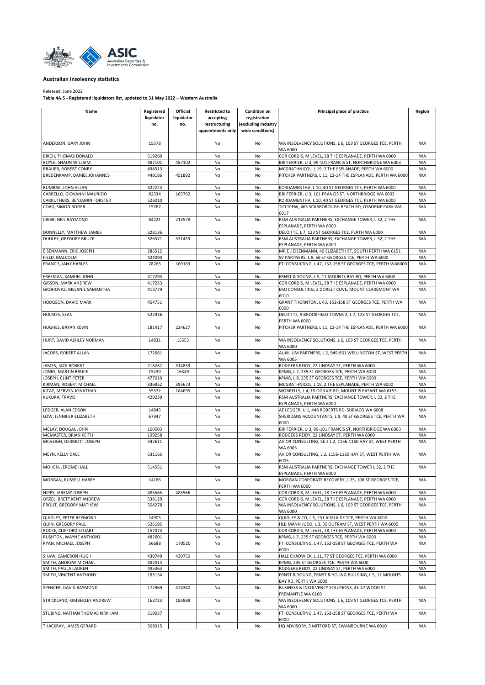<span id="page-13-0"></span>

## Released: June 2022

**Table 4A.5 - Registered liquidators list, updated to 31 May 2022 – Western Australia**

| Name                                              | Registered<br>liquidator<br>no. | Official<br>liquidator<br>no. | <b>Restricted to</b><br>accepting<br>restructuring<br>appointments only | <b>Condition on</b><br>registration<br>(excluding industry<br>wide conditions) | Principal place of practice                                                                                     | Region    |
|---------------------------------------------------|---------------------------------|-------------------------------|-------------------------------------------------------------------------|--------------------------------------------------------------------------------|-----------------------------------------------------------------------------------------------------------------|-----------|
| ANDERSON, GARY JOHN                               | 15578                           |                               | No                                                                      | No                                                                             | WA INSOLVENCY SOLUTIONS, L 6, 109 ST GEORGES TCE, PERTH<br>WA 6000                                              | <b>WA</b> |
| BIRCH, THOMAS DONALD                              | 519260                          |                               | No                                                                      | No                                                                             | COR CORDIS, M LEVEL, 28 THE ESPLANADE, PERTH WA 6000                                                            | WA        |
| BOYLE, SHAUN WILLIAM                              | 487101                          | 487102                        | No                                                                      | No                                                                             | BRI FERRIER, U 3, 99-101 FRANCIS ST, NORTHBRIDGE WA 6003                                                        | WA        |
| <b>BRAUER, ROBERT CONRY</b>                       | 494513                          |                               | No                                                                      | No                                                                             | MCGRATHNICOL, L 19, 2 THE ESPLANADE, PERTH WA 6000                                                              | WA        |
| BREDENKAMP, DANIEL JOHANNES                       | 449186                          | 451892                        | No                                                                      | No                                                                             | PITCHER PARTNERS, L 11, 12-14 THE ESPLANADE, PERTH WA 6000                                                      | WA        |
| <b>BUMBAK, JOHN ALLAN</b>                         | 422223                          |                               | No                                                                      | No                                                                             | KORDAMENTHA, L 10, 40 ST GEORGES TCE, PERTH WA 6000                                                             | WA        |
| CARRELLO, GIOVANNI MAURIZIO                       | 82334                           | 165762                        | No                                                                      | No                                                                             | BRI FERRIER, U 3, 101 FRANCIS ST, NORTHBRIDGE WA 6003                                                           | WA        |
| CARRUTHERS, BENJAMIN FORSTER<br>COAD. SIMON ROGER | 526010<br>15767                 |                               | No<br>No                                                                | No<br>No                                                                       | KORDAMENTHA, L 10, 40 ST GEORGES TCE, PERTH WA 6000<br>TICCIDEW, 463 SCARBOROUGH BEACH RD, OSBORNE PARK WA      | WA<br>WA  |
|                                                   |                                 |                               |                                                                         |                                                                                | 6017                                                                                                            |           |
| CRIBB, NEIL RAYMOND                               | 84221                           | 213578                        | No                                                                      | No                                                                             | RSM AUSTRALIA PARTNERS, EXCHANGE TOWER, L 32, 2 THE<br>ESPLANADE, PERTH WA 6000                                 | WA        |
| DONNELLY, MATTHEW JAMES                           | 328136                          |                               | No                                                                      | No                                                                             | DELOITTE, L 7, 123 ST GEORGES TCE, PERTH WA 6000                                                                | WA        |
| DUDLEY, GREGORY BRUCE                             | 326371                          | 331453                        | No                                                                      | No                                                                             | RSM AUSTRALIA PARTNERS, EXCHANGE TOWER, L 32, 2 THE<br>ESPLANADE, PERTH WA 6000                                 | WA        |
| EISENMANN, ERIC JOSEPH                            | 286512                          |                               | No                                                                      | No                                                                             | MR E J EISENMANN, 40 ELIZABETH ST, SOUTH PERTH WA 6151                                                          | WA        |
| FIELD, MALCOLM                                    | 424090                          |                               | No                                                                      | No                                                                             | SV PARTNERS, L 8, 68 ST GEORGES TCE, PERTH WA 6000                                                              | WA        |
| FRANCIS, IAN CHARLES                              | 78263                           | 169163                        | No                                                                      | No                                                                             | FTI CONSULTING, L 47, 152-158 ST GEORGES TCE, PERTH WA6000                                                      | WA        |
| FREEMAN, SAMUEL JOHN                              | 417293                          |                               | No                                                                      | No                                                                             | ERNST & YOUNG, L 5, 11 MOUNTS BAY RD, PERTH WA 6000                                                             | WA        |
| <b>GIBSON, MARK ANDREW</b>                        | 417233                          |                               | No                                                                      | No                                                                             | COR CORDIS, M LEVEL, 28 THE ESPLANADE, PERTH WA 6000                                                            | WA        |
| GROHOVAZ, MELANIE SAMANTHA                        | 413779                          |                               | No                                                                      | No                                                                             | EMJ CONSULTING, 2 DORSET COVE, MOUNT CLAREMONT WA<br>6010                                                       | WA        |
| HODGSON, DAVID MARK                               | 454751                          |                               | No                                                                      | No                                                                             | GRANT THORNTON, L 43, 152-158 ST GEORGES TCE, PERTH WA<br>6000                                                  | <b>WA</b> |
| HOLMES, SEAN                                      | 522936                          |                               | No                                                                      | No                                                                             | DELOITTE, 9 BROOKFIELD TOWER 2, L 7, 123 ST GEORGES TCE,<br>PERTH WA 6000                                       | WA        |
| HUGHES, BRYAN KEVIN                               | 181417                          | 224627                        | No                                                                      | No                                                                             | PITCHER PARTNERS, L 11, 12-14 THE ESPLANADE, PERTH WA 6000                                                      | <b>WA</b> |
| HURT, DAVID ASHLEY NORMAN                         | 14831                           | 15553                         | No                                                                      | No                                                                             | WA INSOLVENCY SOLUTIONS, L 6, 109 ST GEORGES TCE, PERTH<br>WA 6000                                              | WA        |
| JACOBS, ROBERT ALLAN                              | 172661                          |                               | No                                                                      | No                                                                             | AUXILIUM PARTNERS, L 2, 949-951 WELLINGTON ST, WEST PERTH<br>WA 6005                                            | WA        |
| JAMES, JACK ROBERT                                | 218262                          | 314859                        | No                                                                      | No                                                                             | RODGERS REIDY, 22 LINDSAY ST, PERTH WA 6000                                                                     | WA        |
| JONES, MARTIN BRUCE                               | 15239                           | 16349                         | No                                                                      | No                                                                             | KPMG, L 7, 235 ST GEORGES TCE, PERTH WA 6000                                                                    | WA        |
| JOSEPH, CLINT PETER                               | 477610                          |                               | No                                                                      | No                                                                             | KPMG, L 8, 235 ST GEORGES TCE, PERTH WA 6000                                                                    | WA        |
| KIRMAN, ROBERT MICHAEL                            | 336852                          | 395673                        | No                                                                      | No                                                                             | MCGRATHNICOL, L 19, 2 THE ESPLANADE, PERTH WA 6000                                                              | WA        |
| KITAY, MERVYN JONATHAN                            | 55372                           | 184695                        | No                                                                      | No                                                                             | WORRELLS, L 4, 15 OGILVIE RD, MOUNT PLEASANT WA 6153                                                            | WA        |
| KUKURA, TRAVIS                                    | 429239                          |                               | No                                                                      | No                                                                             | RSM AUSTRALIA PARTNERS, EXCHANGE TOWER, L 32, 2 THE<br>ESPLANADE, PERTH WA 6000                                 | WA        |
| LEDGER, ALAN EDSON                                | 14845                           |                               | No                                                                      | No                                                                             | AE LEDGER, U 1, 448 ROBERTS RD, SUBIACO WA 6008                                                                 | WA        |
| LOW, JENNIFER ELIZABETH                           | 67947                           |                               | No                                                                      | No                                                                             | SHERIDANS ACCOUNTANTS, L 9, 40 ST GEORGES TCE, PERTH WA<br>6000                                                 | WA        |
| MCLAY, DOUGAL JOHN                                | 160503                          |                               | No                                                                      | No                                                                             | BRI FERRIER, U 3, 99-101 FRANCIS ST, NORTHBRIDGE WA 6003                                                        | WA        |
| MCMASTER, BRIAN KEITH<br>MCVEIGH, DERMOTT JOSEPH  | 199258<br>342611                |                               | No<br>No                                                                | No<br>No                                                                       | RODGERS REIDY, 22 LINDSAY ST, PERTH WA 6000<br>AVIOR CONSULTING, SE 2 L 2, 1156-1160 HAY ST, WEST PERTH         | WA<br>WA  |
| MEYN, KELLY DALE                                  | 531165                          |                               | No                                                                      | No                                                                             | WA 6005<br>AVIOR CONSULTING, L 2, 1156-1160 HAY ST, WEST PERTH WA                                               | WA        |
| MOHEN, JEROME HALL                                | 514551                          |                               | No                                                                      | No                                                                             | 6005<br>RSM AUSTRALIA PARTNERS, EXCHANGE TOWER L 32, 2 THE                                                      | <b>WA</b> |
| MORGAN, RUSSELL HARRY                             | 14186                           |                               | No                                                                      | No                                                                             | ESPLANADE, PERTH WA 6000<br>MORGAN CORPORATE RECOVERY, L 25, 108 ST GEORGES TCE,                                | WA        |
|                                                   |                                 |                               |                                                                         |                                                                                | PERTH WA 6000                                                                                                   |           |
| NIPPS, JEREMY JOSEPH                              | 485565                          | 485566                        | No                                                                      | No                                                                             | COR CORDIS, M LEVEL, 28 THE ESPLANADE, PERTH WA 6000                                                            | WA        |
| ORZEL, BRETT KENT ANDREW<br>PROUT, GREGORY MATHEW | 538129<br>504278                |                               | No<br>No                                                                | No<br>No                                                                       | COR CORDIS, M LEVEL, 28 THE ESPLANADE, PERTH WA 6000<br>WA INSOLVENCY SOLUTIONS, L 6, 109 ST GEORGES TCE, PERTH | WA<br>WA  |
| QUIGLEY, PETER REYMOND                            | 14905                           |                               | No                                                                      | No                                                                             | WA 6000<br>QUIGLEY & CO, L 5, 231 ADELAIDE TCE, PERTH WA 6000                                                   | WA        |
| QUIN, GREGORY PAUL                                | 526195                          |                               | No                                                                      | No                                                                             | HLB MANN JUDD, L 3, 35 OUTRAM ST, WEST PERTH WA 6005                                                            | WA        |
| ROCKE, CLIFFORD STUART                            | 157073                          |                               | No                                                                      | No                                                                             | COR CORDIS, M LEVEL, 28 THE ESPLANADE, PERTH WA 6000                                                            | WA        |
| RUSHTON, WAYNE ANTHONY                            | 482601                          |                               | No                                                                      | No                                                                             | KPMG, L 7, 235 ST GEORGES TCE, PERTH WA 6000                                                                    | WA        |
| RYAN, MICHAEL JOSEPH                              | 56688                           | 170510                        | No                                                                      | No                                                                             | FTI CONSULTING, L 47, 152-158 ST GEORGES TCE, PERTH WA<br>6000                                                  | WA        |
| SHAW, CAMERON HUGH                                | 430749                          | 430750                        | No                                                                      | No                                                                             | HALL CHADWICK, L 11, 77 ST GEORGES TCE, PERTH WA 6000                                                           | WA        |
| SMITH, ANDREW MICHAEL                             | 482014                          |                               | No                                                                      | No                                                                             | KPMG, 235 ST GEORGES TCE, PERTH WA 6000                                                                         | WA        |
| SMITH, PAULA LAUREN<br>SMITH, VINCENT ANTHONY     | 495363<br>183154                |                               | No<br>No                                                                | No<br>No                                                                       | RODGERS REIDY, 22 LINDSAY ST, PERTH WA 6000<br>ERNST & YOUNG, ERNST & YOUNG BUILDING, L 5, 11 MOUNTS            | WA<br>WA  |
| SPENCER, DAVID RAYMOND                            | 172969                          | 474340                        | No                                                                      | No                                                                             | BAY RD, PERTH WA 6000<br>BUSINESS & INSOLVENCY SOLUTIONS, 45-47 WOOD ST,                                        | WA        |
| STRICKLAND, KIMBERLEY ANDREW                      | 163723                          | 185888                        | No                                                                      | No                                                                             | FREMANTLE WA 6160<br>WA INSOLVENCY SOLUTIONS, L 6, 109 ST GEORGES TCE, PERTH                                    | WA        |
| STUBING, NATHAN THOMAS KIRKHAM                    | 519037                          |                               | No                                                                      | No                                                                             | WA 6000<br>FTI CONSULTING, L 47, 152-158 ST GEORGES TCE, PERTH WA<br>6000                                       | <b>WA</b> |
| THACKRAY, JAMES GERARD                            | 308015                          |                               | No                                                                      | No                                                                             | HQ ADVISORY, 5 MITFORD ST, SWANBOURNE WA 6010                                                                   | WA        |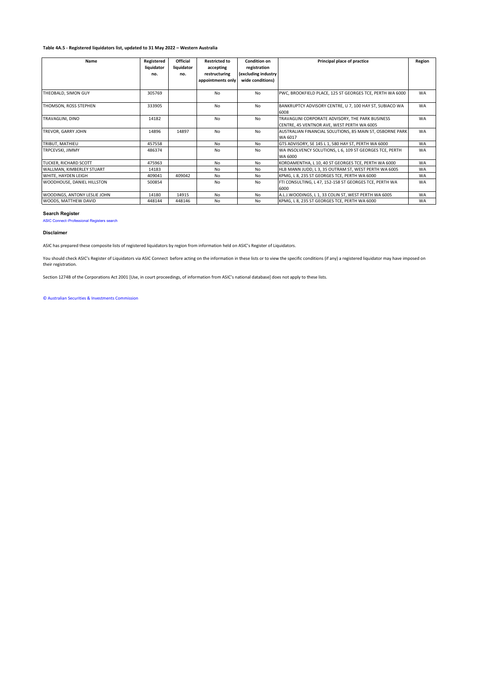## **Table 4A.5 - Registered liquidators list, updated to 31 May 2022 – Western Australia**

| Name                         | Registered<br>liquidator<br>no. | <b>Official</b><br>liquidator<br>no. | <b>Restricted to</b><br>accepting<br>restructuring<br>appointments only | Condition on<br>registration<br>(excluding industry<br>wide conditions) | Principal place of practice                                                                    | Region    |
|------------------------------|---------------------------------|--------------------------------------|-------------------------------------------------------------------------|-------------------------------------------------------------------------|------------------------------------------------------------------------------------------------|-----------|
| THEOBALD, SIMON GUY          | 305769                          |                                      | No                                                                      | No                                                                      | PWC, BROOKFIELD PLACE, 125 ST GEORGES TCE, PERTH WA 6000                                       | <b>WA</b> |
| THOMSON, ROSS STEPHEN        | 333905                          |                                      | No                                                                      | N <sub>0</sub>                                                          | BANKRUPTCY ADVISORY CENTRE, U 7, 100 HAY ST, SUBIACO WA<br>6008                                | <b>WA</b> |
| TRAVAGLINI, DINO             | 14182                           |                                      | No                                                                      | N <sub>o</sub>                                                          | TRAVAGLINI CORPORATE ADVISORY, THE PARK BUSINESS<br>CENTRE, 45 VENTNOR AVE, WEST PERTH WA 6005 | <b>WA</b> |
| TREVOR, GARRY JOHN           | 14896                           | 14897                                | No                                                                      | N <sub>0</sub>                                                          | AUSTRALIAN FINANCIAL SOLUTIONS, 85 MAIN ST, OSBORNE PARK<br>WA 6017                            | <b>WA</b> |
| TRIBUT, MATHIEU              | 457558                          |                                      | No                                                                      | No                                                                      | GTS ADVISORY, SE 145 L 1, 580 HAY ST, PERTH WA 6000                                            | <b>WA</b> |
| TRPCEVSKI, JIMMY             | 486374                          |                                      | No                                                                      | N <sub>o</sub>                                                          | WA INSOLVENCY SOLUTIONS, L 6, 109 ST GEORGES TCE, PERTH<br>WA 6000                             | <b>WA</b> |
| <b>TUCKER, RICHARD SCOTT</b> | 475963                          |                                      | No                                                                      | N <sub>o</sub>                                                          | KORDAMENTHA, L 10, 40 ST GEORGES TCE, PERTH WA 6000                                            | <b>WA</b> |
| WALLMAN, KIMBERLEY STUART    | 14183                           |                                      | No                                                                      | No.                                                                     | HLB MANN JUDD, L 3, 35 OUTRAM ST, WEST PERTH WA 6005                                           | <b>WA</b> |
| WHITE, HAYDEN LEIGH          | 409041                          | 409042                               | No                                                                      | No                                                                      | KPMG, L 8, 235 ST GEORGES TCE, PERTH WA 6000                                                   | <b>WA</b> |
| WOODHOUSE, DANIEL HILLSTON   | 500854                          |                                      | No                                                                      | No                                                                      | FTI CONSULTING, L 47, 152-158 ST GEORGES TCE, PERTH WA<br>6000                                 | <b>WA</b> |
| WOODINGS, ANTONY LESLIE JOHN | 14180                           | 14915                                | N <sub>0</sub>                                                          | No                                                                      | A.L.J.WOODINGS, L 1, 33 COLIN ST, WEST PERTH WA 6005                                           | <b>WA</b> |
| WOODS, MATTHEW DAVID         | 448144                          | 448146                               | No                                                                      | No                                                                      | KPMG, L 8, 235 ST GEORGES TCE, PERTH WA 6000                                                   | <b>WA</b> |

## **Search Register**

[ASIC Connect–Professional Registers search](https://connectonline.asic.gov.au/RegistrySearch/faces/landing/ProfessionalRegisters.jspx?_adf.ctrl-state=9r4wadt8a_46)

#### **Disclaimer**

ASIC has prepared these composite lists of registered liquidators by region from information held on ASIC's Register of Liquidators.

You should check ASIC's Register of Liquidators via ASIC Connect before acting on the information in these lists or to view the specific conditions (if any) a registered liquidator may have imposed on their registration.

Section 1274B of the Corporations Act 2001 [Use, in court proceedings, of information from ASIC's national database] does not apply to these lists.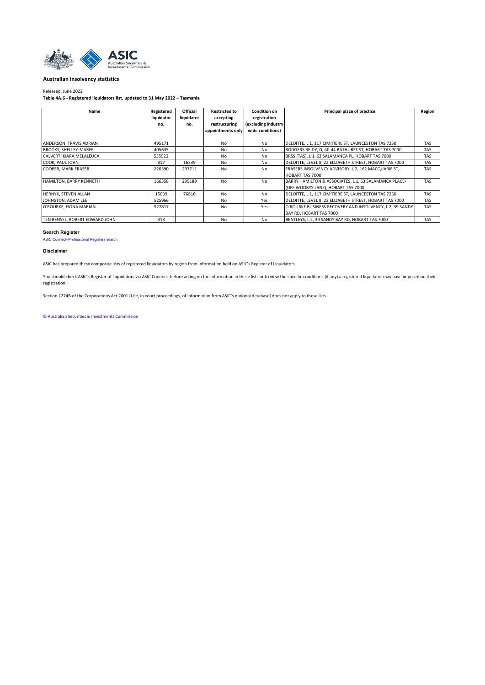<span id="page-15-0"></span>

#### Released: June 2022

**Table 4A.6 - Registered liquidators list, updated to 31 May 2022 – Tasmania**

| Name                           | Registered<br>liquidator<br>no. | <b>Official</b><br>liquidator<br>no. | <b>Restricted to</b><br>accepting<br>restructuring<br>appointments only | Condition on<br>registration<br>(excluding industry)<br>wide conditions) | Principal place of practice                                                                 | Region     |
|--------------------------------|---------------------------------|--------------------------------------|-------------------------------------------------------------------------|--------------------------------------------------------------------------|---------------------------------------------------------------------------------------------|------------|
| ANDERSON, TRAVIS ADRIAN        | 495171                          |                                      | No                                                                      | No.                                                                      | DELOITTE, L 1, 117 CIMITIERE ST, LAUNCESTON TAS 7250                                        | <b>TAS</b> |
| <b>BROOKS, SHELLEY-MAREE</b>   | 405635                          |                                      | No                                                                      | No                                                                       | RODGERS REIDY, G, 40-44 BATHURST ST, HOBART TAS 7000                                        | <b>TAS</b> |
| CALVERT, KIARA MELALEUCA       | 535522                          |                                      | N <sub>0</sub>                                                          | No.                                                                      | BRSS (TAS), L 1, 63 SALAMANCA PL, HOBART TAS 7000                                           | <b>TAS</b> |
| COOK, PAUL JOHN                | 317                             | 16339                                | No                                                                      | No.                                                                      | DELOITTE, LEVEL 8, 22 ELIZABETH STREET, HOBART TAS 7000                                     | <b>TAS</b> |
| <b>COOPER, MARK FRASER</b>     | 220390                          | 297711                               | No                                                                      | No                                                                       | FRASERS INSOLVENCY ADVISORY, L 2, 162 MACQUARIE ST.<br><b>HOBART TAS 7000</b>               | <b>TAS</b> |
| <b>HAMILTON, BARRY KENNETH</b> | 166358                          | 295189                               | No                                                                      | No                                                                       | BARRY HAMILTON & ASSOCIATES, L 1, 63 SALAMANCA PLACE-<br>(OFF WOOBYS LANE), HOBART TAS 7000 | <b>TAS</b> |
| HERNYK, STEVEN ALLAN           | 15609                           | 76810                                | No                                                                      | No                                                                       | DELOITTE, L 1, 117 CIMITIERE ST, LAUNCESTON TAS 7250                                        | <b>TAS</b> |
| JOHNSTON, ADAM LEE             | 525966                          |                                      | No                                                                      | Yes                                                                      | DELOITTE, LEVEL 8, 22 ELIZABETH STREET, HOBART TAS 7000                                     | <b>TAS</b> |
| O'ROURKE, FIONA MARIAN         | 527817                          |                                      | No                                                                      | Yes                                                                      | O'ROURKE BUSINESS RECOVERY AND INSOLVENCY, L 2, 39 SANDY<br>BAY RD. HOBART TAS 7000         | <b>TAS</b> |
| TEN BENSEL, ROBERT EDWARD JOHN | 313                             |                                      | No                                                                      | No                                                                       | BENTLEYS, L 2, 39 SANDY BAY RD, HOBART TAS 7000                                             | <b>TAS</b> |

# **Search Register**

[ASIC Connect–Professional Registers search](https://connectonline.asic.gov.au/RegistrySearch/faces/landing/ProfessionalRegisters.jspx?_adf.ctrl-state=9r4wadt8a_46)

#### **Disclaimer**

ASIC has prepared these composite lists of registered liquidators by region from information held on ASIC's Register of Liquidators.

You should check ASIC's Register of Liquidators via ASIC Connect before acting on the information in these lists or to view the specific conditions (if any) a registered liquidator may have imposed on their registration.

Section 1274B of the Corporations Act 2001 [Use, in court proceedings, of information from ASIC's national database] does not apply to these lists.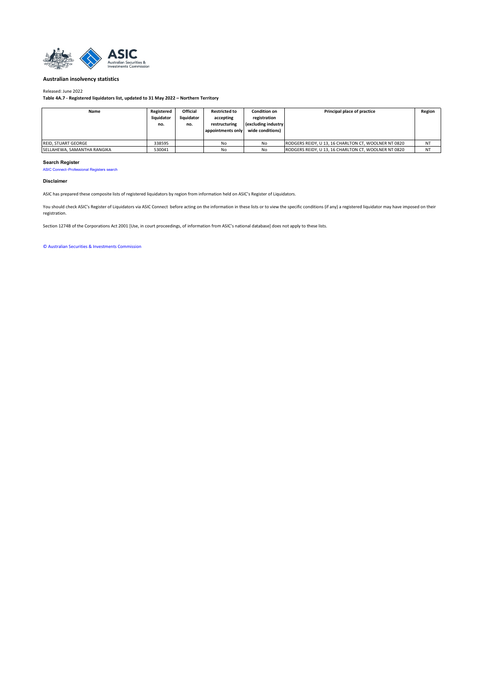<span id="page-16-0"></span>

#### Released: June 2022

**Table 4A.7 - Registered liquidators list, updated to 31 May 2022 – Northern Territory**

| Name                        | Registered<br>liquidator<br>no. | Official<br>liquidator<br>no. | <b>Restricted to</b><br>accepting<br>restructuring<br>appointments only | <b>Condition on</b><br>registration<br>(excluding industry<br>wide conditions) | Principal place of practice                          | Region    |
|-----------------------------|---------------------------------|-------------------------------|-------------------------------------------------------------------------|--------------------------------------------------------------------------------|------------------------------------------------------|-----------|
| <b>REID. STUART GEORGE</b>  | 338595                          |                               | No                                                                      | No                                                                             | RODGERS REIDY, U 13, 16 CHARLTON CT, WOOLNER NT 0820 | NT        |
| SELLAHEWA, SAMANTHA RANGIKA | 530041                          |                               | No                                                                      | No                                                                             | RODGERS REIDY, U 13, 16 CHARLTON CT, WOOLNER NT 0820 | <b>NT</b> |

#### **Search Register**

[ASIC Connect–Professional Registers search](https://connectonline.asic.gov.au/RegistrySearch/faces/landing/ProfessionalRegisters.jspx?_adf.ctrl-state=9r4wadt8a_46)

#### **Disclaimer**

ASIC has prepared these composite lists of registered liquidators by region from information held on ASIC's Register of Liquidators.

You should check ASIC's Register of Liquidators via ASIC Connect before acting on the information in these lists or to view the specific conditions (if any) a registered liquidator may have imposed on their registration.

Section 1274B of the Corporations Act 2001 [Use, in court proceedings, of information from ASIC's national database] does not apply to these lists.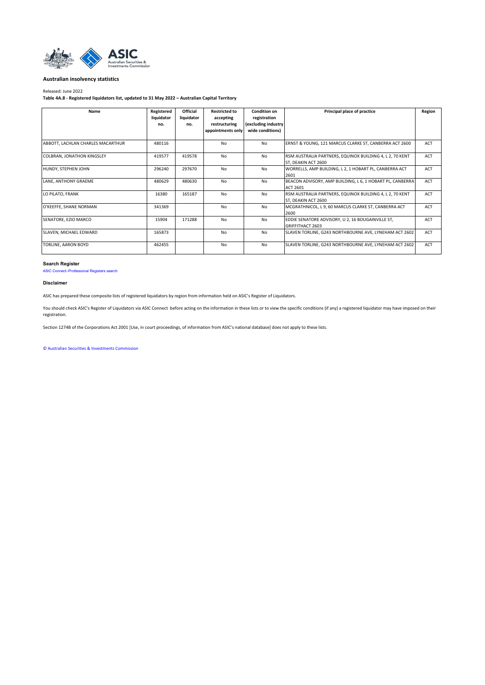<span id="page-17-0"></span>

#### Released: June 2022

**Table 4A.8 - Registered liquidators list, updated to 31 May 2022 – Australian Capital Territory**

| Name                              | Registered<br>liquidator<br>no. | <b>Official</b><br>liquidator<br>no. | <b>Restricted to</b><br>accepting<br>restructuring<br>appointments only | <b>Condition on</b><br>registration<br>(excluding industry)<br>wide conditions) | Principal place of practice                                                     | Region     |
|-----------------------------------|---------------------------------|--------------------------------------|-------------------------------------------------------------------------|---------------------------------------------------------------------------------|---------------------------------------------------------------------------------|------------|
| ABBOTT, LACHLAN CHARLES MACARTHUR | 480116                          |                                      | No                                                                      | No                                                                              | ERNST & YOUNG, 121 MARCUS CLARKE ST, CANBERRA ACT 2600                          | <b>ACT</b> |
| COLBRAN, JONATHON KINGSLEY        | 419577                          | 419578                               | N <sub>o</sub>                                                          | No                                                                              | RSM AUSTRALIA PARTNERS, EQUINOX BUILDING 4, L 2, 70 KENT<br>ST. DEAKIN ACT 2600 | <b>ACT</b> |
| HUNDY, STEPHEN JOHN               | 296240                          | 297670                               | No                                                                      | No                                                                              | WORRELLS, AMP BUILDING, L 2, 1 HOBART PL, CANBERRA ACT<br>2601                  | <b>ACT</b> |
| LANE, ANTHONY GRAEME              | 480629                          | 480630                               | N <sub>o</sub>                                                          | No                                                                              | BEACON ADVISORY, AMP BUILDING, L 6, 1 HOBART PL, CANBERRA<br>ACT 2601           | <b>ACT</b> |
| LO PILATO, FRANK                  | 16380                           | 165187                               | N <sub>o</sub>                                                          | No                                                                              | RSM AUSTRALIA PARTNERS, EQUINOX BUILDING 4, L 2, 70 KENT<br>ST. DEAKIN ACT 2600 | ACT        |
| O'KEEFFE, SHANE NORMAN            | 341369                          |                                      | No                                                                      | No                                                                              | MCGRATHNICOL, L 9, 60 MARCUS CLARKE ST, CANBERRA ACT<br>2600                    | <b>ACT</b> |
| SENATORE, EZIO MARCO              | 15904                           | 171288                               | No                                                                      | No                                                                              | EDDIE SENATORE ADVISORY, U 2, 16 BOUGAINVILLE ST,<br>GRIFFITHACT 2603           | <b>ACT</b> |
| SLAVEN, MICHAEL EDWARD            | 165873                          |                                      | N <sub>o</sub>                                                          | No                                                                              | SLAVEN TORLINE, G243 NORTHBOURNE AVE, LYNEHAM ACT 2602                          | <b>ACT</b> |
| <b>TORLINE, AARON BOYD</b>        | 462455                          |                                      | N <sub>o</sub>                                                          | No                                                                              | SLAVEN TORLINE, G243 NORTHBOURNE AVE, LYNEHAM ACT 2602                          | ACT        |

#### **Search Register**

[ASIC Connect–Professional Registers search](https://connectonline.asic.gov.au/RegistrySearch/faces/landing/ProfessionalRegisters.jspx?_adf.ctrl-state=9r4wadt8a_46)

## **Disclaimer**

ASIC has prepared these composite lists of registered liquidators by region from information held on ASIC's Register of Liquidators.

You should check ASIC's Register of Liquidators via ASIC Connect before acting on the information in these lists or to view the specific conditions (if any) a registered liquidator may have imposed on their registration.

Section 1274B of the Corporations Act 2001 [Use, in court proceedings, of information from ASIC's national database] does not apply to these lists.